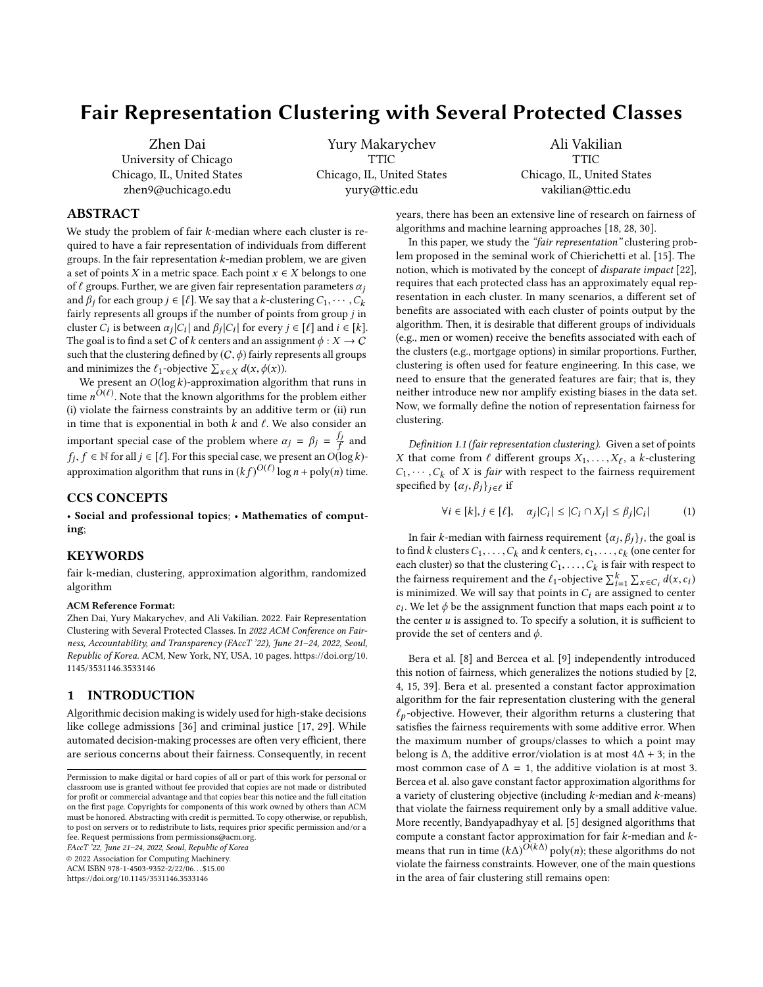# Fair Representation Clustering with Several Protected Classes

[Zhen Dai](https://orcid.org/0000-0002-8101-8848) University of Chicago Chicago, IL, United States zhen9@uchicago.edu

[Yury Makarychev](https://orcid.org/0000-0003-3114-3947) **TTIC** Chicago, IL, United States yury@ttic.edu

[Ali Vakilian](https://orcid.org/0000-0001-5049-7594) **TTIC** Chicago, IL, United States vakilian@ttic.edu

# ABSTRACT

We study the problem of fair  $k$ -median where each cluster is required to have a fair representation of individuals from different groups. In the fair representation  $k$ -median problem, we are given a set of points X in a metric space. Each point  $x \in X$  belongs to one of  $\ell$  groups. Further, we are given fair representation parameters  $\alpha_i$ and  $\beta_j$  for each group  $j \in [\ell]$ . We say that a k-clustering  $C_1, \dots, C_k$ fairly represents all groups if the number of points from group j in cluster  $C_i$  is between  $\alpha_j |C_i|$  and  $\beta_j |C_i|$  for every  $j \in [\ell]$  and  $i \in [k]$ .<br>The goal is to find a set C of k centers and an assignment  $\phi : Y \to C$ . The goal is to find a set C of k centers and an assignment  $\phi: X \to C$ such that the clustering defined by  $(C, \phi)$  fairly represents all groups and minimizes the  $\ell_1$ -objective  $\sum_{x \in X} d(x, \phi(x))$ .<br>We present an O(log k)-approximation algor

We present an  $O(\log k)$ -approximation algorithm that runs in time  $n^{O(\ell)}$ . Note that the known algorithms for the problem either (i) violate the fairness constraints by an additive term or (ii) run (i) violate the fairness constraints by an additive term or (ii) run in time that is exponential in both  $k$  and  $\ell$ . We also consider an important special case of the problem where  $\alpha_j = \beta_j = \frac{f_j}{f}$  and *f* ∈ N for all *j* ∈ [ $\ell$ ]. For this special case, we present an  $O(\log k)$ -<br>in generic stigs also without that we give  $(LK)O(\ell)$  has  $n + n \text{abs}(\alpha)$  times approximation algorithm that runs in  $(kf)^{O(\ell)}$  log  $n + \text{poly}(n)$  time.

## CCS CONCEPTS

• Social and professional topics; • Mathematics of computing;

#### KEYWORDS

fair k-median, clustering, approximation algorithm, randomized algorithm

#### ACM Reference Format:

Zhen Dai, Yury Makarychev, and Ali Vakilian. 2022. Fair Representation Clustering with Several Protected Classes. In 2022 ACM Conference on Fairness, Accountability, and Transparency (FAccT '22), June 21–24, 2022, Seoul, Republic of Korea. ACM, New York, NY, USA, [10](#page-9-0) pages. [https://doi.org/10.](https://doi.org/10.1145/3531146.3533146) [1145/3531146.3533146](https://doi.org/10.1145/3531146.3533146)

# 1 INTRODUCTION

Algorithmic decision making is widely used for high-stake decisions like college admissions [\[36\]](#page-9-1) and criminal justice [\[17,](#page-9-2) [29\]](#page-9-3). While automated decision-making processes are often very efficient, there are serious concerns about their fairness. Consequently, in recent

FAccT '22, June 21–24, 2022, Seoul, Republic of Korea

© 2022 Association for Computing Machinery.

ACM ISBN 978-1-4503-9352-2/22/06. . . \$15.00

<https://doi.org/10.1145/3531146.3533146>

years, there has been an extensive line of research on fairness of algorithms and machine learning approaches [\[18,](#page-9-4) [28,](#page-9-5) [30\]](#page-9-6).

In this paper, we study the "fair representation" clustering problem proposed in the seminal work of Chierichetti et al. [\[15\]](#page-8-0). The notion, which is motivated by the concept of disparate impact [\[22\]](#page-9-7), requires that each protected class has an approximately equal representation in each cluster. In many scenarios, a different set of benefits are associated with each cluster of points output by the algorithm. Then, it is desirable that different groups of individuals (e.g., men or women) receive the benefits associated with each of the clusters (e.g., mortgage options) in similar proportions. Further, clustering is often used for feature engineering. In this case, we need to ensure that the generated features are fair; that is, they neither introduce new nor amplify existing biases in the data set. Now, we formally define the notion of representation fairness for clustering.

<span id="page-0-0"></span>Definition 1.1 (fair representation clustering). Given a set of points X that come from  $\ell$  different groups  $X_1, \ldots, X_\ell$ , a k-clustering  $C_1, \ldots, C_k$  of X is fair with respect to the fairness requirement  $C_1, \dots, C_k$  of X is *fair* with respect to the fairness requirement specified by  $\{\alpha_j, \beta_j\}_{j \in \ell}$  if

$$
\forall i \in [k], j \in [\ell], \quad \alpha_j |C_i| \le |C_i \cap X_j| \le \beta_j |C_i| \tag{1}
$$

In fair k-median with fairness requirement  $\{\alpha_j, \beta_j\}_j$ , the goal is<br>find k clusters  $C_i$  and k centers  $\alpha_i$  and  $\alpha_j$  (one center for to find k clusters  $C_1, \ldots, C_k$  and k centers,  $c_1, \ldots, c_k$  (one center for each cluster) so that the clustering  $C_k$  (c) is fair with respect to each cluster) so that the clustering  $C_1, \ldots, C_k$  is fair with respect to the former requirement and the function  $\sum_{k=1}^{k} \frac{d(x, y_k)}{dx}$ the fairness requirement and the  $\ell_1$ -objective  $\sum_{i=1}^k \sum_{x \in C_i} d(x, c_i)$ <br>is minimized. We will say that points in  $C_i$  are assumed to center the fairness requirement and the  $t_1$ -objective  $\sum_{i=1}^{\infty} \sum_{x \in C_i} a(x, c_i)$ <br>is minimized. We will say that points in  $C_i$  are assigned to center<br>c. We let  $\phi$  be the assignment function that maps each point u to the center u is assigned to. To specify a solution, it is sufficient to<br>provide the set of centers and  $\phi$  $c_i$ . We let  $\phi$  be the assignment function that maps each point u to provide the set of centers and  $\phi$ .

Bera et al. [\[8\]](#page-8-1) and Bercea et al. [\[9\]](#page-8-2) independently introduced this notion of fairness, which generalizes the notions studied by [\[2,](#page-8-3) [4,](#page-8-4) [15,](#page-8-0) [39\]](#page-9-8). [Bera et al.](#page-8-1) presented a constant factor approximation algorithm for the fair representation clustering with the general  $\ell_p$ -objective. However, their algorithm returns a clustering that satisfies the fairness requirements with some additive error. When the maximum number of groups/classes to which a point may belong is  $\Delta$ , the additive error/violation is at most  $4\Delta + 3$ ; in the most common case of  $\Delta = 1$ , the additive violation is at most 3. [Bercea et al.](#page-8-2) also gave constant factor approximation algorithms for a variety of clustering objective (including k-median and k-means) that violate the fairness requirement only by a small additive value. More recently, Bandyapadhyay et al. [\[5\]](#page-8-5) designed algorithms that compute a constant factor approximation for fair k-median and k-<br>means that run in time  $(k\Lambda)O(k\Delta)$  poly(n); these algorithms do not means that run in time  $(k\Delta)^{O(k\Delta)}$  poly(n); these algorithms do not<br>violate the fairness constraints. However, one of the main questions violate the fairness constraints. However, one of the main questions in the area of fair clustering still remains open:

Permission to make digital or hard copies of all or part of this work for personal or classroom use is granted without fee provided that copies are not made or distributed for profit or commercial advantage and that copies bear this notice and the full citation on the first page. Copyrights for components of this work owned by others than ACM must be honored. Abstracting with credit is permitted. To copy otherwise, or republish, to post on servers or to redistribute to lists, requires prior specific permission and/or a fee. Request permissions from permissions@acm.org.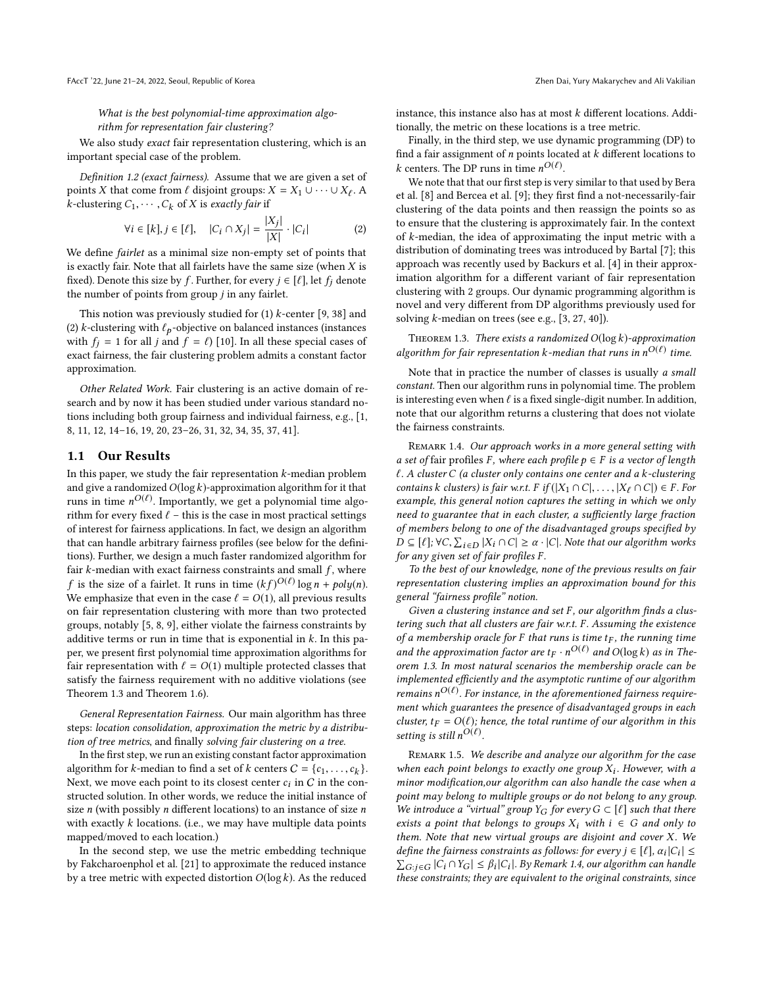What is the best polynomial-time approximation algorithm for representation fair clustering?

We also study exact fair representation clustering, which is an important special case of the problem.

<span id="page-1-2"></span>Definition 1.2 (exact fairness). Assume that we are given a set of points X that come from  $\ell$  disjoint groups:  $X = X_1 \cup \cdots \cup X_\ell$ . A<br>k-clustering  $C_1 \cup \cdots \cup C_k$  of X is exactly fair if k-clustering  $C_1, \cdots, C_k$  of X is exactly fair if

$$
\forall i \in [k], j \in [\ell], \quad |C_i \cap X_j| = \frac{|X_j|}{|X|} \cdot |C_i| \tag{2}
$$
  
We define *farilet* as a minimal size non-empty set of points that

is exactly fair. Note that all fairlets have the same size (when  $X$  is fixed). Denote this size by f. Further, for every  $j \in [\ell]$ , let  $f_j$  denote the number of points from group  $j$  in any fairlet.

This notion was previously studied for  $(1)$  k-center  $[9, 38]$  $[9, 38]$  $[9, 38]$  and (2) *k*-clustering with  $\ell_p$ -objective on balanced instances (instances with  $f_i = 1$  for all j and  $f = \ell$ ) [\[10\]](#page-8-6). In all these special cases of exact fairness, the fair clustering problem admits a constant factor approximation.

Other Related Work. Fair clustering is an active domain of research and by now it has been studied under various standard notions including both group fairness and individual fairness, e.g., [\[1,](#page-8-7) [8,](#page-8-1) [11,](#page-8-8) [12,](#page-8-9) [14–](#page-8-10)[16,](#page-9-10) [19,](#page-9-11) [20,](#page-9-12) [23–](#page-9-13)[26,](#page-9-14) [31,](#page-9-15) [32,](#page-9-16) [34,](#page-9-17) [35,](#page-9-18) [37,](#page-9-19) [41\]](#page-9-20).

## 1.1 Our Results

In this paper, we study the fair representation  $k$ -median problem and give a randomized  $O(\log k)$ -approximation algorithm for it that runs in time  $n^{O(\ell)}$ . Importantly, we get a polynomial time algo-<br>rithm for every fixed  $\ell$  – this is the case in most practical settings rithm for every fixed  $\ell$  – this is the case in most practical settings of interest for fairness applications. In fact, we design an algorithm that can handle arbitrary fairness profiles (see below for the definitions). Further, we design a much faster randomized algorithm for fair  $k$ -median with exact fairness constraints and small  $f$ , where f is the size of a fairlet. It runs in time  $(kf)^{O(\ell)} \log n + poly(n)$ .<br>We emphasize that even in the case  $\ell = O(1)$  all previous results We emphasize that even in the case  $\ell = O(1)$ , all previous results on fair representation clustering with more than two protected groups, notably [\[5,](#page-8-5) [8,](#page-8-1) [9\]](#page-8-2), either violate the fairness constraints by additive terms or run in time that is exponential in  $k$ . In this paper, we present first polynomial time approximation algorithms for fair representation with  $\ell = O(1)$  multiple protected classes that satisfy the fairness requirement with no additive violations (see Theorem [1.3](#page-1-0) and Theorem [1.6\)](#page-2-0).

General Representation Fairness. Our main algorithm has three steps: location consolidation, approximation the metric by a distribution of tree metrics, and finally solving fair clustering on a tree.

In the first step, we run an existing constant factor approximation algorithm for k-median to find a set of k centers  $C = \{c_1, \ldots, c_k\}$ .<br>Next, we move each point to its closest center  $c_i$  in C in the con-Next, we move each point to its closest center  $c_i$  in C in the con-<br>structed solution. In other words, we reduce the initial instance of structed solution. In other words, we reduce the initial instance of size  $n$  (with possibly  $n$  different locations) to an instance of size  $n$ with exactly  $k$  locations. (i.e., we may have multiple data points mapped/moved to each location.)

In the second step, we use the metric embedding technique by Fakcharoenphol et al. [\[21\]](#page-9-21) to approximate the reduced instance by a tree metric with expected distortion  $O(\log k)$ . As the reduced instance, this instance also has at most k different locations. Additionally, the metric on these locations is a tree metric.

Finally, in the third step, we use dynamic programming (DP) to find a fair assignment of  $n$  points located at  $k$  different locations to k centers. The DP runs in time  $n^{O(\ell)}$ .<br>We note that that our first step is ver

We note that that our first step is very similar to that used by Bera et al. [\[8\]](#page-8-1) and Bercea et al. [\[9\]](#page-8-2); they first find a not-necessarily-fair clustering of the data points and then reassign the points so as to ensure that the clustering is approximately fair. In the context of k-median, the idea of approximating the input metric with a distribution of dominating trees was introduced by Bartal [\[7\]](#page-8-11); this approach was recently used by Backurs et al. [\[4\]](#page-8-4) in their approximation algorithm for a different variant of fair representation clustering with 2 groups. Our dynamic programming algorithm is novel and very different from DP algorithms previously used for solving  $k$ -median on trees (see e.g., [\[3,](#page-8-12) [27,](#page-9-22) [40\]](#page-9-23)).

<span id="page-1-0"></span>THEOREM 1.3. There exists a randomized  $O(\log k)$ -approximation algorithm for fair representation k-median that runs in  $n^{O(\ell)}$  time.

Note that in practice the number of classes is usually a small constant. Then our algorithm runs in polynomial time. The problem is interesting even when  $\ell$  is a fixed single-digit number. In addition, note that our algorithm returns a clustering that does not violate the fairness constraints.

<span id="page-1-1"></span>REMARK 1.4. Our approach works in a more general setting with a set of fair profiles F, where each profile  $p \in F$  is a vector of length  $\ell$ . A cluster C (a cluster only contains one center and a k-clustering contains k clusters) is fair w.r.t. F if  $(|X_1 \cap C|, \ldots, |X_\ell \cap C|) \in F$ . For example, this general notion captures the setting in which we only need to guarantee that in each cluster, a sufficiently large fraction of members belong to one of the disadvantaged groups specified by  $D \subseteq [\ell]; \forall C, \sum_{i \in D} |X_i \cap C| \ge \alpha \cdot |C|$ . Note that our algorithm works for any given set of fair profiles  $F$ for any given set of fair profiles F .

To the best of our knowledge, none of the previous results on fair representation clustering implies an approximation bound for this general "fairness profile" notion.

Given a clustering instance and set F, our algorithm finds a clustering such that all clusters are fair w.r.t. F. Assuming the existence of a membership oracle for F that runs is time  $t_F$ , the running time and the approximation factor are  $t_F \cdot n^{O(\ell)}$  and  $O(\log k)$  as in The-<br>oram 1.3. In most natural scanarios the mambarship oracle can be orem [1.3.](#page-1-0) In most natural scenarios the membership oracle can be implemented efficiently and the asymptotic runtime of our algorithm remains  $n^{O(\ell)}$ . For instance, in the aforementioned fairness require-<br>ment which guarantees the presence of disadvantaged groups in each ment which guarantees the presence of disadvantaged groups in each cluster,  $t_F = O(\ell)$ ; hence, the total runtime of our algorithm in this setting is still  $n^{O(\ell)}$ .

REMARK 1.5. We describe and analyze our algorithm for the case when each point belongs to exactly one group  $\bar{X}_i$ . However, with a minor modification our algorithm can also handle the case when a minor modification,our algorithm can also handle the case when a point may belong to multiple groups or do not belong to any group. We introduce a "virtual" group  $Y_G$  for every  $G \subset [\ell]$  such that there exists a point that belongs to groups  $X_i$  with  $i \in G$  and only to them. Note that new virtual groups are disjoint and cover X. We define the fairness constraints as follows: for every  $j \in [\ell], \alpha_i |C_i| \leq$ <br> $\sum_{i=1}^{\infty} c_i \circ C_i \circ \sum_{j=1}^{\infty} c_j \circ C_j \circ C_j \circ C_j$  $\sum_{G:j \in G} |\hat{C}_i \cap Y_G| \leq \beta_i |C_i|$ . By Remark [1.4,](#page-1-1) our algorithm can handle these constraints; they are equivalent to the original constraints, since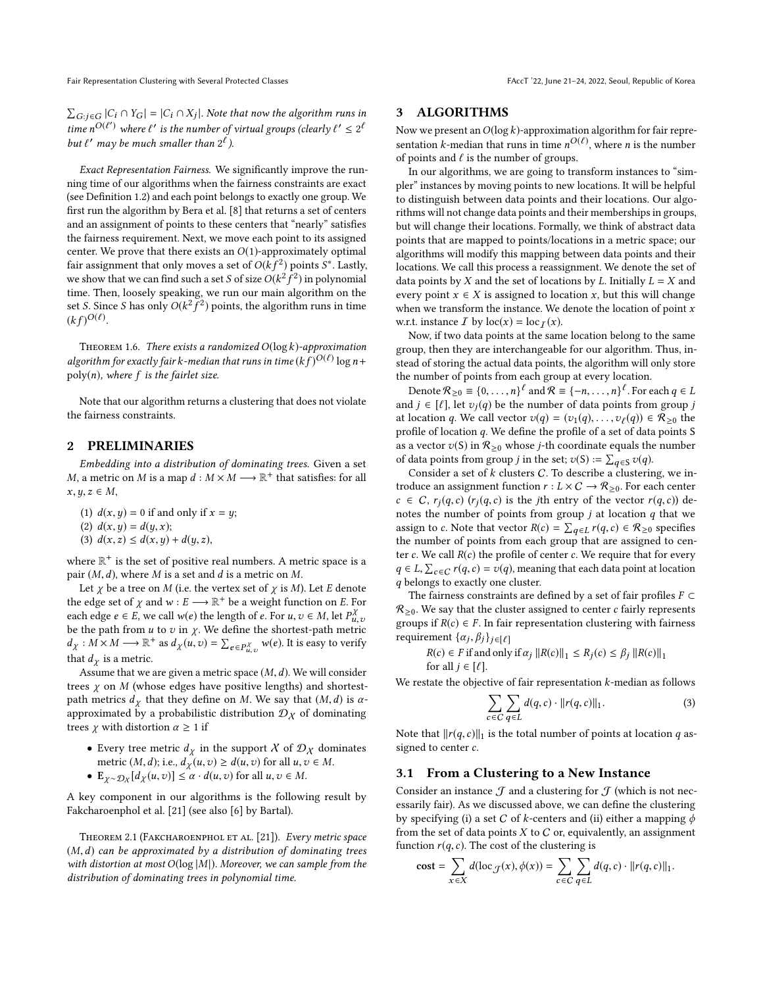Fair Representation Clustering with Several Protected Classes FAccT '22, June 21-24, 2022, Seoul, Republic of Korea

 $\sum_{G:j \in G} |C_i \cap Y_G| = |C_i \cap X_j|$ . Note that now the algorithm runs in<br>time of (f) when f( is the number of sixteed muons (shorte f) < of time n<sup>O(ℓ'</sup>) where  $\ell'$  is the number of virtual groups (clearly  $\ell' \leq 2^{\ell}$ <br>but  $\ell'$  may be much smaller than  $2^{\ell}$ ) but  $\ell'$  may be much smaller than  $2^{\ell}$ ).

Exact Representation Fairness. We significantly improve the running time of our algorithms when the fairness constraints are exact (see Definition [1.2\)](#page-1-2) and each point belongs to exactly one group. We first run the algorithm by Bera et al. [\[8\]](#page-8-1) that returns a set of centers and an assignment of points to these centers that "nearly" satisfies the fairness requirement. Next, we move each point to its assigned center. We prove that there exists an  $O(1)$ -approximately optimal fair assignment that only moves a set of  $O(kf^2)$  points  $S^*$ . Lastly, we show that we can find such a set S of size  $O(k^2 f^2)$  in polynomial<br>time. Then, loosely speaking, we run our main algorithm on the  $\frac{1}{2}$  for the sum of the sum above  $\frac{1}{2}$  for  $\frac{1}{2}$  for  $\frac{1}{2}$  for  $\frac{1}{2}$  for  $\frac{1}{2}$  for  $\frac{1}{2}$  for  $\frac{1}{2}$  for  $\frac{1}{2}$  for  $\frac{1}{2}$  for  $\frac{1}{2}$  for  $\frac{1}{2}$  for  $\frac{1}{2}$  for  $\frac{1}{2}$  for set *S*. Since *S* has only  $O(k^2)$ f<br>S  $\frac{1}{2}$ ) points, the algorithm runs in time  $(kf)^{O(\ell)}.$ 

<span id="page-2-0"></span>THEOREM 1.6. There exists a randomized  $O(\log k)$ -approximation algorithm for exactly fair k-median that runs in time  $(kf)^{O(\ell)} \log n +$ <br>poly(n), where f, is the fairlet size  $poly(n)$ , where  $f$  is the fairlet size.

Note that our algorithm returns a clustering that does not violate the fairness constraints.

#### 2 PRELIMINARIES

Embedding into a distribution of dominating trees. Given a set *M*, a metric on *M* is a map  $d : M \times M \longrightarrow \mathbb{R}^+$  that satisfies: for all  $x, y, z \in M$  $x, y, z \in M$ ,

(1)  $d(x, y) = 0$  if and only if  $x = y$ ;

(2)  $d(x, y) = d(y, x);$ 

(3)  $d(x, z) \leq d(x, y) + d(y, z)$ ,

where  $\mathbb{R}^+$  is the set of positive real numbers. A metric space is a pair  $(M, d)$ , where M is a set and d is a metric on M.

Let  $\chi$  be a tree on M (i.e. the vertex set of  $\chi$  is M). Let E denote the edge set of  $\chi$  and  $w : E \longrightarrow \mathbb{R}^+$  be a weight function on E. For each edge  $e \in E$ , we call  $w(e)$  the length of e. For  $u, v \in M$ , let  $P_u^{\lambda}$ <br>be the path from u to zin  $x$ . We define the shortest-path metr be the path from u to v in  $\chi$ . We define the shortest-path metric  $d \, : M \times M \longrightarrow \mathbb{P}^+$  as  $d \, (u, z) = \sum_{x} \chi(u, z)$ . It is easy to verify  $d_{\chi}: M \times M \longrightarrow \mathbb{R}^+$  as  $d_{\chi}(u, v) = \sum_{e \in P_{u, v}^{\chi}} w(e)$ . It is easy to verify that  $d<sub>\gamma</sub>$  is a metric.

Assume that we are given a metric space  $(M, d)$ . We will consider trees  $\chi$  on  $M$  (whose edges have positive lengths) and shortestpath metrics  $d<sub>\gamma</sub>$  that they define on M. We say that  $(M, d)$  is  $\alpha$ approximated by a probabilistic distribution  $\mathcal{D}_{\chi}$  of dominating trees  $\chi$  with distortion  $\alpha \geq 1$  if

- Every tree metric  $d<sub>\gamma</sub>$  in the support X of  $\mathcal{D}<sub>\chi</sub>$  dominates metric  $(M, d)$ ; i.e.,  $d_X(u, v) \ge d(u, v)$  for all  $u, v \in M$ .
- $\mathbb{E}_{\chi \sim \mathcal{D}_{\chi}}[d_{\chi}(u,v)] \leq \alpha \cdot d(u,v)$  for all  $u, v \in M$ .

A key component in our algorithms is the following result by Fakcharoenphol et al. [\[21\]](#page-9-21) (see also [\[6\]](#page-8-13) by Bartal).

<span id="page-2-1"></span>THEOREM 2.1 (FAKCHAROENPHOL ET AL. [\[21\]](#page-9-21)). Every metric space  $(M, d)$  can be approximated by a distribution of dominating trees with distortion at most  $O(\log|M|)$ . Moreover, we can sample from the distribution of dominating trees in polynomial time.

## <span id="page-2-3"></span>3 ALGORITHMS

Now we present an  $O(\log k)$ -approximation algorithm for fair representation k-median that runs in time  $n^{O(\ell)}$ , where *n* is the number<br>of points and  $\ell$  is the number of groups of points and  $\ell$  is the number of groups.

In our algorithms, we are going to transform instances to "simpler" instances by moving points to new locations. It will be helpful to distinguish between data points and their locations. Our algorithms will not change data points and their memberships in groups, but will change their locations. Formally, we think of abstract data points that are mapped to points/locations in a metric space; our algorithms will modify this mapping between data points and their locations. We call this process a reassignment. We denote the set of data points by *X* and the set of locations by *L*. Initially  $L = X$  and every point  $x \in X$  is assigned to location x, but this will change when we transform the instance. We denote the location of point  $x$ w.r.t. instance  $\overline{I}$  by  $loc(x) = loc_{\overline{I}}(x)$ .

Now, if two data points at the same location belong to the same group, then they are interchangeable for our algorithm. Thus, instead of storing the actual data points, the algorithm will only store the number of points from each group at every location.

Denote  $\mathcal{R}_{\geq 0} \equiv \{0, \ldots, n\}^{\ell}$  and  $\mathcal{R} \equiv \{-n, \ldots, n\}^{\ell}$ . For each  $q \in L$ <br>d  $i \in [l]$  let  $v_l(q)$  be the number of data points from group is and  $j \in [\ell]$ , let  $v_j(q)$  be the number of data points from group j at location q. We call vector  $v(q) = (v_1(q), \ldots, v_\ell(q)) \in \mathcal{R}_{\geq 0}$  the profile of location q. We define the profile of a set of data points S profile of location q. We define the profile of a set of data points <sup>S</sup> as a vector  $v(S)$  in  $\mathcal{R}_{\geq 0}$  whose *j*-th coordinate equals the number of data points from group *j* in the set;  $v(S) := \sum_{q \in S} v(q)$ .<br>Consider a set of *k* clusters *C*. To describe a clustering

Consider a set of  $k$  clusters  $C$ . To describe a clustering, we introduce an assignment function  $r : L \times C \rightarrow \mathcal{R}_{\geq 0}$ . For each center  $c \in C$ ,  $r_j(q,c)$  ( $r_j(q,c)$  is the jth entry of the vector  $r(q,c)$ ) denotes the number of points from group  $j$  at location  $q$  that we assign to c. Note that vector  $R(c) = \sum_{q \in L} r(q, c) \in \mathcal{R}_{\geq 0}$  specifies<br>the number of points from each group that are assigned to centhe number of points from each group that are assigned to center  $c$ . We call  $R(c)$  the profile of center  $c$ . We require that for every  $q \in L$ ,  $\sum_{c \in C} r(q, c) = v(q)$ , meaning that each data point at location a belongs to exactly one cluster q belongs to exactly one cluster.

The fairness constraints are defined by a set of fair profiles  $F \subset$  $\mathcal{R}_{\geq 0}$ . We say that the cluster assigned to center c fairly represents groups if  $R(c) \in F$ . In fair representation clustering with fairness requirement  $\{\alpha_j, \beta_j\}_{j \in [\ell]}$ 

$$
R(c) \in F \text{ if and only if } \alpha_j \, \|R(c)\|_1 \le R_j(c) \le \beta_j \, \|R(c)\|_1
$$
  
for all  $j \in [\ell]$ .

We restate the objective of fair representation  $k$ -median as follows

$$
\sum_{c \in C} \sum_{q \in L} d(q, c) \cdot ||r(q, c)||_1.
$$
 (3)

Note that  $||r(q, c)||_1$  is the total number of points at location q assigned to center  $c$ .

# <span id="page-2-2"></span>3.1 From a Clustering to a New Instance

Consider an instance  $\mathcal J$  and a clustering for  $\mathcal J$  (which is not necessarily fair). As we discussed above, we can define the clustering by specifying (i) a set C of k-centers and (ii) either a mapping  $\phi$ from the set of data points  $X$  to  $C$  or, equivalently, an assignment function  $r(q, c)$ . The cost of the clustering is

$$
\text{cost} = \sum_{x \in X} d(\log_{\mathcal{J}}(x), \phi(x)) = \sum_{c \in C} \sum_{q \in L} d(q, c) \cdot ||r(q, c)||_1.
$$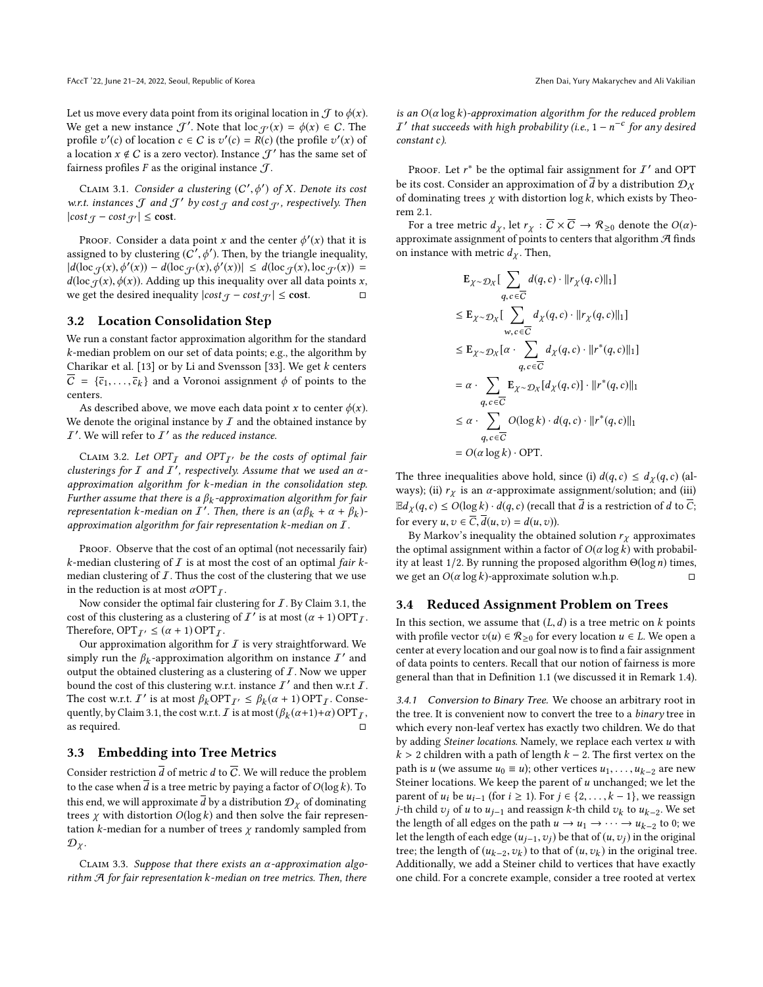Let us move every data point from its original location in  $\mathcal J$  to  $\phi(x)$ . We get a new instance  $\mathcal{J}'$ . Note that  $\text{loc}_{\mathcal{J}'}(x) = \phi(x) \in C$ . The profile  $v'(x)$  of location  $c \in C$  is  $v'(c) = B(c)$  (the profile  $v'(x)$  of profile  $v'(c)$  of location  $c \in C$  is  $v'(c) = R(c)$  (the profile  $v'(x)$  of a location  $x \notin C$  is a zero vector). Instance  $\mathcal{T}'$  has the same set of a location  $x \notin C$  is a zero vector). Instance  $\mathcal{J}'$  has the same set of fairness profiles  $F$  as the original instance  $\mathcal{T}$ .

<span id="page-3-0"></span>CLAIM 3.1. Consider a clustering  $(C', \phi')$  of X. Denote its cost<br>ct. instances  $\mathcal{T}$  and  $\mathcal{T}'$  by cost  $\sigma$  and cost  $\sigma$ , respectively Then w.r.t. instances  $\mathcal J$  and  $\mathcal J'$  by cost  $\mathcal J$  and cost  $\mathcal J'$ , respectively. Then  $|cost_{\mathcal{T}} - cost_{\mathcal{T}'}| \le \text{cost}.$ 

Proof. Consider a data point x and the center  $\phi'(x)$  that it is assigned to by clustering  $(C', \phi')$ . Then, by the triangle inequality,  $|d(\log f(x), \phi'(x)) - d(\log f(x), \phi'(x))| \leq d(\log f(x), \log f(x))$ <br>  $\leq d(\log f(x), \log f(x))$ <br>  $\leq d(\log f(x), \log f(x))$ *d*(loc  $f(x)$ ,  $\phi(x)$ ). Adding up this inequality over all data points *x*, we get the desired inequality lcost  $\sigma$  – cost  $\sigma$  | < cost. □ we get the desired inequality  $|cost_{\mathcal{J}} - cost_{\mathcal{J}'}| \leq \text{cost}.$ 

#### <span id="page-3-4"></span>3.2 Location Consolidation Step

We run a constant factor approximation algorithm for the standard k-median problem on our set of data points; e.g., the algorithm by Charikar et al. [\[13\]](#page-8-14) or by Li and Svensson [\[33\]](#page-9-24). We get k centers  $\overline{C} = {\overline{c}_1, \ldots, \overline{c}_k}$  and a Voronoi assignment  $\phi$  of points to the centers centers.

As described above, we move each data point x to center  $\phi(x)$ . We denote the original instance by  $I$  and the obtained instance by  $I'$ . We will refer to  $I'$  as the reduced instance.

<span id="page-3-2"></span>CLAIM 3.2. Let OPT<sub>I</sub> and OPT<sub>I</sub>, be the costs of optimal fair clusterings for I and  $\overline{I}$ , respectively. Assume that we used an  $\alpha$ -<br>approximation algorithm for k-median in the consolidation step approximation algorithm for k-median in the consolidation step. Further assume that there is a  $\beta_k$ -approximation algorithm for fair<br>representation k-median on  $I'$ . Then, there is an  $(\alpha \beta_1 + \alpha + \beta_1)$ representation k-median on I'. Then, there is an  $(\alpha \beta_k + \alpha + \beta_k)$ -<br>approximation algorithm for fair representation k-median on I approximation algorithm for fair representation  $k$ -median on  $I$ .

PROOF. Observe that the cost of an optimal (not necessarily fair) k-median clustering of  $I$  is at most the cost of an optimal fair kmedian clustering of  $I$ . Thus the cost of the clustering that we use in the reduction is at most  $\alpha \text{OPT}_I$  .

Now consider the optimal fair clustering for  $I$  . By Claim [3.1,](#page-3-0) the cost of this clustering as a clustering of  $I^{\prime}$  is at most  $(\alpha + 1)$  OPT<sub>I</sub>.<br>Therefore, OPT<sub>I</sub>.  $\leq (\alpha + 1)$  OPT<sub>I</sub>. Therefore,  $OPT_{\mathcal{I}'} \leq (\alpha + 1) OPT_{\mathcal{I}}$ .

Our approximation algorithm for  $I$  is very straightforward. We simply run the  $\beta_k$ -approximation algorithm on instance  $I'$  and output the obtained clustering as a clustering of  $\overline{I}$ . Now we unner output the obtained clustering as a clustering of  $I$ . Now we upper bound the cost of this clustering w.r.t. instance  $I'$  and then w.r.t  $I$ . The cost w.r.t. I' is at most  $\beta_k \text{OPT}_{I'} \leq \beta_k (\alpha + 1) \text{OPT}_{I}$ . Consequently by Claim 3.1, the cost w.r.t. I is at most  $(\beta_k (\alpha + 1) + \alpha) \text{OPT}_{I'}$ quently, by Claim [3.1,](#page-3-0) the cost w.r.t.  $\overline{I}$  is at most  $(\beta_k(\alpha+1)+\alpha)$  OPT $\overline{I}$ , as required as required.  $\Box$ 

## 3.3 Embedding into Tree Metrics

Consider restriction  $\overline{d}$  of metric d to  $\overline{C}$ . We will reduce the problem to the case when  $\overline{d}$  is a tree metric by paying a factor of  $O(\log k)$ . To this end, we will approximate  $\overline{d}$  by a distribution  $\mathcal{D}_\gamma$  of dominating trees  $\chi$  with distortion  $O(\log k)$  and then solve the fair representation  $k$ -median for a number of trees  $\chi$  randomly sampled from  $\mathcal{D}_{\chi}$ .

<span id="page-3-1"></span>CLAIM 3.3. Suppose that there exists an  $\alpha$ -approximation algorithm  $A$  for fair representation  $k$ -median on tree metrics. Then, there is an  $O(\alpha \log k)$ -approximation algorithm for the reduced problem *I'* that succeeds with high probability (i.e.,  $1 - n^{-c}$  for any desired constant c) constant c).

Proof. Let  $r^*$  be the optimal fair assignment for  $I'$  and OPT its gest. Consider an approximation of  $\overline{A}$  by a distribution  $\Omega$ be its cost. Consider an approximation of  $\overline{d}$  by a distribution  $\mathcal{D}_X$ of dominating trees  $\chi$  with distortion log  $k$ , which exists by Theorem [2.1.](#page-2-1)

For a tree metric  $d_{\chi}$ , let  $r_{\chi} : \overline{C} \times \overline{C} \to \mathcal{R}_{\geq 0}$  denote the  $O(\alpha)$ approximate assignment of points to centers that algorithm  $\mathcal A$  finds on instance with metric  $d<sub>\chi</sub>$ . Then,

$$
\mathbf{E}_{\chi \sim \mathcal{D}_{\chi}} \left[ \sum_{q, c \in \overline{C}} d(q, c) \cdot ||r_{\chi}(q, c)||_1 \right]
$$
\n
$$
\leq \mathbf{E}_{\chi \sim \mathcal{D}_{\chi}} \left[ \sum_{w, c \in \overline{C}} d_{\chi}(q, c) \cdot ||r_{\chi}(q, c)||_1 \right]
$$
\n
$$
\leq \mathbf{E}_{\chi \sim \mathcal{D}_{\chi}} \left[ \alpha \cdot \sum_{q, c \in \overline{C}} d_{\chi}(q, c) \cdot ||r^*(q, c)||_1 \right]
$$
\n
$$
= \alpha \cdot \sum_{q, c \in \overline{C}} \mathbf{E}_{\chi \sim \mathcal{D}_{\chi}} \left[ d_{\chi}(q, c) \right] \cdot ||r^*(q, c)||_1
$$
\n
$$
\leq \alpha \cdot \sum_{q, c \in \overline{C}} O(\log k) \cdot d(q, c) \cdot ||r^*(q, c)||_1
$$
\n
$$
= O(\alpha \log k) \cdot \text{OPT}.
$$

The three inequalities above hold, since (i)  $d(q, c) \le d_{\chi}(q, c)$  (always); (ii)  $r_{\chi}$  is an  $\alpha$ -approximate assignment/solution; and (iii)  $\mathbb{E}d_{\chi}(q,c) \leq O(\log k) \cdot d(q,c)$  (recall that  $\overline{d}$  is a restriction of d to  $\overline{C}$ ; for every  $u, v \in \overline{C}, \overline{d}(u, v) = d(u, v)$ ).

By Markov's inequality the obtained solution  $r<sub>\gamma</sub>$  approximates the optimal assignment within a factor of  $O(\alpha \log k)$  with probability at least 1/2. By running the proposed algorithm Θ(log *n*) times, we get an  $O(α \log k)$ -approximate solution w.h.p. we get an  $O(\alpha \log k)$ -approximate solution w.h.p.

#### <span id="page-3-3"></span>3.4 Reduced Assignment Problem on Trees

In this section, we assume that  $(L, d)$  is a tree metric on  $k$  points with profile vector  $v(u) \in \mathcal{R}_{\geq 0}$  for every location  $u \in L$ . We open a center at every location and our goal now is to find a fair assignment of data points to centers. Recall that our notion of fairness is more general than that in Definition [1.1](#page-0-0) (we discussed it in Remark [1.4\)](#page-1-1).

3.4.1 Conversion to Binary Tree. We choose an arbitrary root in the tree. It is convenient now to convert the tree to a binary tree in which every non-leaf vertex has exactly two children. We do that by adding Steiner locations. Namely, we replace each vertex u with  $k > 2$  children with a path of length  $k - 2$ . The first vertex on the path is u (we assume  $u_0 \equiv u$ ); other vertices  $u_1, \ldots, u_{k-2}$  are new Steiner locations. We keep the parent of  $u$  unchanged; we let the parent of  $u_i$  be  $u_{i-1}$  (for  $i \ge 1$ ). For  $j \in \{2, ..., k-1\}$ , we reassign j-th child  $v_j$  of u to  $u_{j-1}$  and reassign k-th child  $v_k$  to  $u_{k-2}$ . We set<br>the length of all edges on the path  $u \to u_k \to u_k \to u_k$ , to 0; we the length of all edges on the path  $u \to u_1 \to \cdots \to u_{k-2}$  to 0; we let the length of each edge  $(u_1, u_2)$  be that of  $(u_1, u_2)$  in the original let the length of each edge  $(u_{j-1},v_j)$  be that of  $(u,v_j)$  in the original tree; the length of  $(u_{k-2}, v_k)$  to that of  $(u, v_k)$  in the original tree.<br>Additionally we add a Steiner child to vertices that have exactly Additionally, we add a Steiner child to vertices that have exactly one child. For a concrete example, consider a tree rooted at vertex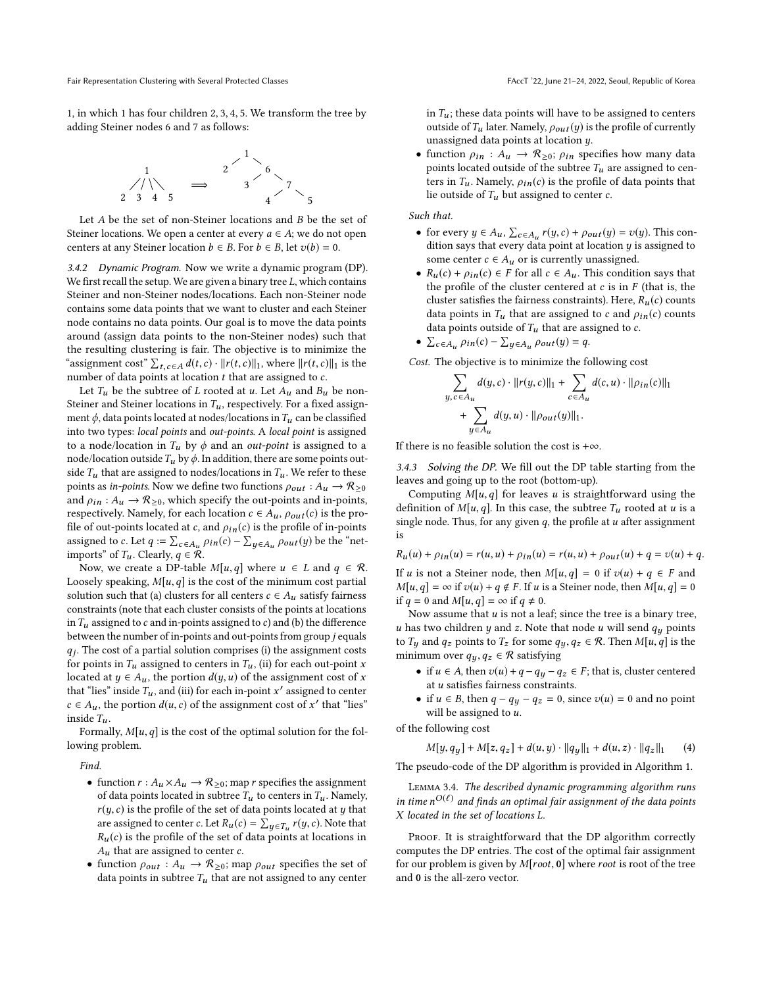1, in which <sup>1</sup> has four children <sup>2</sup>, <sup>3</sup>, <sup>4</sup>, 5. We transform the tree by adding Steiner nodes 6 and 7 as follows:



Let A be the set of non-Steiner locations and B be the set of Steiner locations. We open a center at every  $a \in A$ ; we do not open centers at any Steiner location  $b \in B$ . For  $b \in B$ , let  $v(b) = 0$ .

3.4.2 Dynamic Program. Now we write a dynamic program (DP). We first recall the setup. We are given a binary tree  $L$ , which contains Steiner and non-Steiner nodes/locations. Each non-Steiner node contains some data points that we want to cluster and each Steiner node contains no data points. Our goal is to move the data points around (assign data points to the non-Steiner nodes) such that the resulting clustering is fair. The objective is to minimize the "assignment cost"  $\sum_{t, c \in A} d(t, c) \cdot ||r(t, c)||_1$ , where  $||r(t, c)||_1$  is the number of data points at location t that are assigned to c number of data points at location  $t$  that are assigned to  $c$ .

Let  $T_u$  be the subtree of L rooted at u. Let  $A_u$  and  $B_u$  be non-Steiner and Steiner locations in  $T_u$ , respectively. For a fixed assignment  $\phi$ , data points located at nodes/locations in  $T_u$  can be classified into two types: local points and out-points. A local point is assigned to a node/location in  $T_u$  by  $\phi$  and an *out-point* is assigned to a node/location outside  $T_u$  by  $\phi$ . In addition, there are some points outside  $T_u$  that are assigned to nodes/locations in  $T_u$ . We refer to these points as *in-points*. Now we define two functions  $\rho_{out}: A_u \to \mathcal{R}_{\geq 0}$ and  $\rho_{in}: A_u \to \mathcal{R}_{\geq 0}$ , which specify the out-points and in-points, respectively. Namely, for each location  $c \in A_u$ ,  $\rho_{out}(c)$  is the profile of out-points located at c, and  $\rho_{in}(c)$  is the profile of in-points assigned to c. Let  $q := \sum_{c \in A_u} \rho_{in}(c) - \sum_{y \in A_u} \rho_{out}(y)$  be the "net-<br>imports" of T. Clearly  $q \in \mathcal{R}$ imports" of  $T_u$ . Clearly,  $q \in \mathcal{R}$ .

Now, we create a DP-table  $M[u,q]$  where  $u \in L$  and  $q \in \mathcal{R}$ . Loosely speaking,  $M[u,q]$  is the cost of the minimum cost partial solution such that (a) clusters for all centers  $c \in A_u$  satisfy fairness constraints (note that each cluster consists of the points at locations in  $T_u$  assigned to  $c$  and in-points assigned to  $c$ ) and (b) the difference between the number of in-points and out-points from group j equals  $q_1$ .<br>for points in T<sub>u</sub> assigned to centers in T<sub>u</sub>, (ii) for each out-point x<br>located at  $y \in A$ , the portion  $d(y, y)$  of the assignment cost of x  $q_i$ . The cost of a partial solution comprises (i) the assignment costs located at  $y \in A_u$ , the portion  $d(y, u)$  of the assignment cost of x that "lies" inside  $T_u$ , and (iii) for each in-point x' assigned to center<br>c  $\epsilon$  4 the portion  $d(u, c)$  of the assignment cost of x' that "lies"  $c \in A_u$ , the portion  $d(u, c)$  of the assignment cost of x' that "lies"<br>inside T inside  $T_u$ .

Formally,  $M[u, q]$  is the cost of the optimal solution for the following problem.

Find.

- function  $r : A_u \times A_u \to \mathcal{R}_{\geq 0}$ ; map r specifies the assignment of data points located in subtree  $T_u$  to centers in  $T_u$ . Namely,  $r(y, c)$  is the profile of the set of data points located at y that are assigned to center c. Let  $R_u(c) = \sum_{g \in T_u} r(y, c)$ . Note that are assigned to center c. Let  $K_u(c) = \sum_{y \in T_u} r(y, c)$ . Note that  $R_u(c)$  is the profile of the set of data points at locations in  $A_u$  that are assigned to center  $c$ .
- function  $\rho_{out}: A_u \to \mathcal{R}_{\geq 0}$ ; map  $\rho_{out}$  specifies the set of data points in subtree  $T_u$  that are not assigned to any center

in  $T_u$ ; these data points will have to be assigned to centers outside of  $T_u$  later. Namely,  $\rho_{out}(y)$  is the profile of currently unassigned data points at location y.

• function  $\rho_{in}: A_u \to \mathcal{R}_{\geq 0}$ ;  $\rho_{in}$  specifies how many data points located outside of the subtree  $T_u$  are assigned to centers in  $T_u$ . Namely,  $\rho_{in}(c)$  is the profile of data points that lie outside of  $T_u$  but assigned to center  $c$ .

Such that.

- for every  $y \in A_u$ ,  $\sum_{c \in A_u} r(y, c) + \rho_{out}(y) = v(y)$ . This condition save that every data point at location u is assigned to dition says that every data point at location  $y$  is assigned to some center  $c \in A_u$  or is currently unassigned.
- $R_u(c) + \rho_{in}(c) \in F$  for all  $c \in A_u$ . This condition says that the profile of the cluster centered at  $c$  is in  $F$  (that is, the cluster satisfies the fairness constraints). Here,  $R_u(c)$  counts data points in  $T_u$  that are assigned to c and  $\rho_{in}(c)$  counts data points outside of  $T_u$  that are assigned to  $c$ .
- $\sum_{c \in A_u} \rho_{in}(c) \sum_{y \in A_u} \rho_{out}(y) = q.$

Cost. The objective is to minimize the following cost

$$
\sum_{y, c \in A_u} d(y, c) \cdot ||r(y, c)||_1 + \sum_{c \in A_u} d(c, u) \cdot ||\rho_{in}(c)||_1 + \sum_{y \in A_u} d(y, u) \cdot ||\rho_{out}(y)||_1.
$$

If there is no feasible solution the cost is +∞.

3.4.3 Solving the DP. We fill out the DP table starting from the leaves and going up to the root (bottom-up).

Computing  $M[u,q]$  for leaves u is straightforward using the definition of  $M[u, q]$ . In this case, the subtree  $T_u$  rooted at u is a single node. Thus, for any given  $q$ , the profile at  $u$  after assignment is

 $R_u(u) + \rho_{in}(u) = r(u, u) + \rho_{in}(u) = r(u, u) + \rho_{out}(u) + q = v(u) + q.$ If u is not a Steiner node, then  $M[u,q] = 0$  if  $v(u) + q \in F$  and  $M[u,q] = \infty$  if  $v(u) + q \notin F$ . If u is a Steiner node, then  $M[u,q] = 0$ if  $q = 0$  and  $M[u, q] = \infty$  if  $q \neq 0$ .

Now assume that  $u$  is not a leaf; since the tree is a binary tree, u has two children y and z. Note that node u will send  $q_u$  points to  $T_y$  and  $q_z$  points to  $T_z$  for some  $q_y, q_z \in \mathcal{R}$ . Then  $M[u, q]$  is the minimum over  $q_y, q_z \in \mathcal{R}$  satisfying

- if  $u \in A$ , then  $v(u) + q q_y q_z \in F$ ; that is, cluster centered at u satisfies fairness constraints.
- <span id="page-4-0"></span>• if  $u \in B$ , then  $q - q_y - q_z = 0$ , since  $v(u) = 0$  and no point will be assigned to  $u$ .

of the following cost

$$
M[y, q_y] + M[z, q_z] + d(u, y) \cdot ||q_y||_1 + d(u, z) \cdot ||q_z||_1 \qquad (4)
$$
  
The pseudo-code of the DP algorithm is provided in Algorithm 1.

<span id="page-4-1"></span>Lemma 3.4. The described dynamic programming algorithm runs in time  $n^{O(\ell)}$  and finds an optimal fair assignment of the data points<br>X located in the set of locations I X located in the set of locations L.

PROOF. It is straightforward that the DP algorithm correctly computes the DP entries. The cost of the optimal fair assignment for our problem is given by  $M[root, 0]$  where root is root of the tree and 0 is the all-zero vector.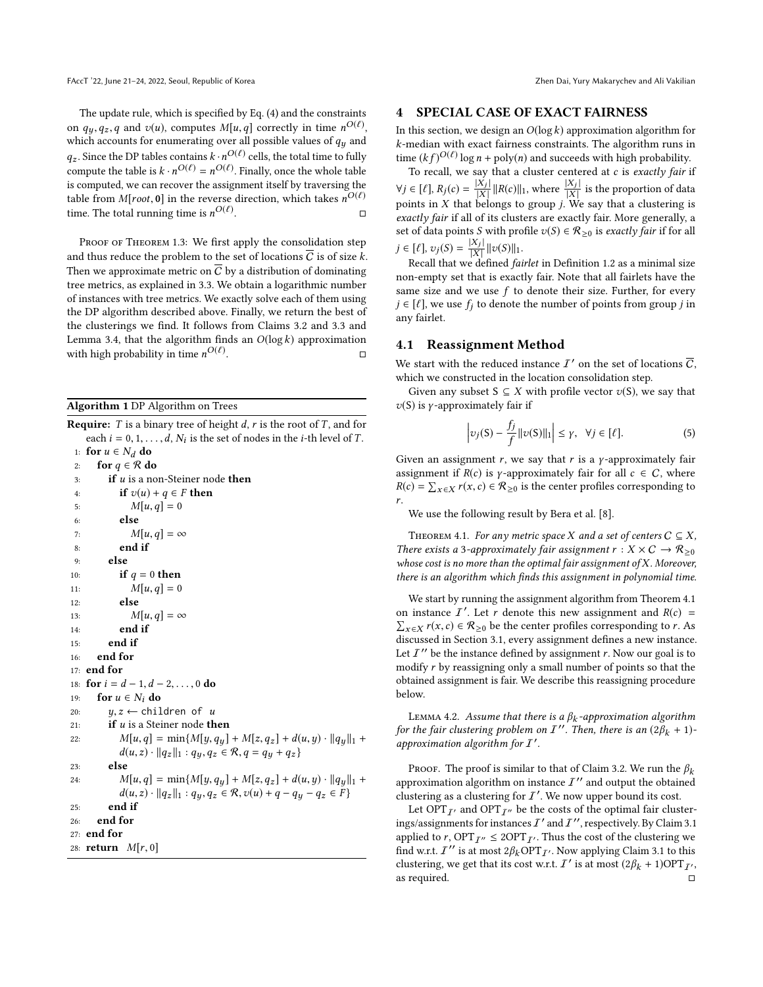The update rule, which is specified by Eq. [\(4\)](#page-4-0) and the constraints on  $q_y, q_z, q$  and  $v(u)$ , computes  $M[u, q]$  correctly in time  $n^{O(\ell)}$ ,<br>which accounts for enumerating over all possible values of  $q$ , and which accounts for enumerating over all possible values of  $q_y$  and  $q_z$ . Since the DP tables contains  $k \cdot n^{O(\ell)}$  cells, the total time to fully compute the toble is  $k \cdot n^{O(\ell)} = n^{O(\ell)}$ . Einelly, once the whole toble compute the table is  $k \cdot n^{O(\ell)} = n^{O(\ell)}$ . Finally, once the whole table<br>is computed, we can recover the assignment itself by traversing the is computed, we can recover the assignment itself by traversing the table from M[root, 0] in the reverse direction, which takes  $n^{O(\ell)}$ time. The total running time is  $n^{O(\ell)}$ . □

PROOF OF THEOREM [1.3:](#page-1-0) We first apply the consolidation step and thus reduce the problem to the set of locations  $\overline{C}$  is of size k. Then we approximate metric on  $\overline{C}$  by a distribution of dominating tree metrics, as explained in [3.3.](#page-3-1) We obtain a logarithmic number of instances with tree metrics. We exactly solve each of them using the DP algorithm described above. Finally, we return the best of the clusterings we find. It follows from Claims [3.2](#page-3-2) and [3.3](#page-3-1) and Lemma [3.4,](#page-4-1) that the algorithm finds an  $O(\log k)$  approximation with high probability in time  $n^{O(\ell)}$ . <del>п</del>

#### <span id="page-5-0"></span>Algorithm 1 DP Algorithm on Trees

**Require:** T is a binary tree of height d, r is the root of T, and for each  $i = 0, 1, ..., d, N_i$  is the set of nodes in the *i*-th level of *T*.<br>for  $u \in N$ , do

```
1: for u \in N_d do<br>2: for q \in \mathcal{R} do
 2: for q \in \mathcal{R} do<br>3: if u is a no
 3: if u is a non-Steiner node then<br>4: if v(u) + a \in F then
 4: if v(u) + q \in F then<br>5: M[u, a] = 05: M[u, q] = 0<br>6: else
                else
 7: M[u, q] = \infty<br>8: end if
                end if
 9: else
10: if q = 0 then<br>11: M[u, a] = 011: M[u, q] = 0<br>12: else
                else
13: M[u, q] = \infty<br>14: end if
               end if
15: end if
16: end for
17: end for
18: for i = d - 1, d - 2, ..., 0 do<br>19: for u \in N_i do
19: for u \in N_i do<br>20: u, z \leftarrow \text{chil}20: y, z \leftarrow \text{children of } u<br>21: if u is a Steiner node th
21: if u is a Steiner node then<br>22: M[u, a] = min\{M[u, a_u]M[u,q] = \min\{M[y,q_y] + M[z,q_z] + d(u,y) \cdot ||q_y||_1 +d(u, z) \cdot ||q_z||_1 : q_y, q_z \in \mathcal{R}, q = q_y + q_z23: else
24: M[u,q] = \min\{M[y,q_y] + M[z,q_z] + d(u,y) \cdot ||q_y||_1 +d(u, z) \cdot ||q_z||_1 : q_y, q_z \in \mathcal{R}, v(u) + q - q_y - q_z \in F25: end if
26: end for
27: end for
28: return M[r, 0]
```
#### <span id="page-5-4"></span>4 SPECIAL CASE OF EXACT FAIRNESS

In this section, we design an  $O(\log k)$  approximation algorithm for k-median with exact fairness constraints. The algorithm runs in time  $(kf)^{O(\ell)} \log n + \text{poly}(n)$  and succeeds with high probability.<br>To recall we say that a cluster centered at c is exactly fair

To recall, we say that a cluster centered at  $c$  is exactly fair if  $\forall j \in [\ell], R_j(c) = \frac{|X_j|}{|X|}$ |  $\frac{|X_j|}{|X|} ||R(c)||_1$ , where  $\frac{|X_j|}{|X|}$  is the proportion of data<br>belongs to group *i*. We say that a clustering is | points in  $X$  that belongs to group  $j$ . We say that a clustering is exactly fair if all of its clusters are exactly fair. More generally, a set of data points S with profile  $v(S) \in \mathcal{R}_{\geq 0}$  is *exactly fair* if for all  $j \in [\ell], v_j(S) = \frac{|X_j|}{|X|} ||v(S)||_1.$ <br>
Recall that we defined for |

 $\lbrack \nu_1, \nu_j \rangle \rightarrow \frac{\lbrack \nu_1, \nu_j \rangle - \lbrack \overline{\lbrack \chi_1 \rbrack} \rbrack \lbrack \nu \rangle \lbrack \nu \rbrack \rbrack$  Recall that we defined *fairlet* in Definition [1.2](#page-1-2) as a minimal size non-empty set that is exactly fair. Note that all fairlets have the same size and we use  $f$  to denote their size. Further, for every  $j \in [\ell]$ , we use  $f_j$  to denote the number of points from group j in any fairlet.

#### 4.1 Reassignment Method

We start with the reduced instance  $I'$  on the set of locations  $\overline{C}$ , which we constructed in the location consolidation step.

Given any subset  $S \subseteq X$  with profile vector  $v(S)$ , we say that  $v(S)$  is *γ*-approximately fair if

<span id="page-5-2"></span>
$$
\left| \upsilon_j(S) - \frac{f_j}{f} \|\upsilon(S)\|_1 \right| \le \gamma, \quad \forall j \in [\ell]. \tag{5}
$$

Given an assignment r, we say that r is a  $\gamma$ -approximately fair assignment if  $R(c)$  is *γ*-approximately fair for all  $c \in C$ , where  $R(c) = \sum_{x \in X} r(x, c) \in \mathcal{R}_{\geq 0}$  is the center profiles corresponding to r.

We use the following result by Bera et al. [\[8\]](#page-8-1).

<span id="page-5-1"></span>THEOREM 4.1. For any metric space X and a set of centers  $C \subseteq X$ , There exists a 3-approximately fair assignment  $r : X \times C \rightarrow \mathcal{R}_{\geq 0}$ whose cost is no more than the optimal fair assignment of  $X$ . Moreover, there is an algorithm which finds this assignment in polynomial time.

We start by running the assignment algorithm from Theorem [4.1](#page-5-1) on instance  $I'$ on instance  $\overline{I}$ . Let r denote this new assignment and  $R(c) = \sum_{x \in X} r(x, c) \in \mathcal{R}_{\geq 0}$  be the center profiles corresponding to r. As discussed in Section 3.1 every assignment defines a new instance discussed in Section [3.1,](#page-2-2) every assignment defines a new instance. Let  $I''$  be the instance defined by assignment r. Now our goal is to modify r by reassigning only a small number of points so that the modify r by reassigning only a small number of points so that the obtained assignment is fair. We describe this reassigning procedure below.

<span id="page-5-3"></span>LEMMA 4.2. Assume that there is a  $\beta_k$ -approximation algorithm<br>the fair clustering problem on  $I''$ . Then, there is an  $(28, +1)$ for the fair clustering problem on  $I''$ . Then, there is an  $(2\beta_k + 1)$ approximation algorithm for  $I'$ .

PROOF. The proof is similar to that of Claim [3.2.](#page-3-2) We run the  $\beta_k$ approximation algorithm on instance  $I''$  and output the obtained clustering as a clustering for  $I'$ . We now upper bound its cost.

Let OPT $_{I'}$  and OPT $_{I''}$  be the costs of the optimal fair clusterings/assignments for instances  $I'$  and  $I''$ , respectively. By Claim [3.1](#page-3-0) applied to r, OPT $_{I''} \le 2$ OPT $_{I'}$ . Thus the cost of the clustering we find w.r.t. I'' is at most  $2\beta_k \text{OPT}_{I'}$ . Now applying Claim [3.1](#page-3-0) to this clustering we get that its cost w.r.t. I' is at most  $(2\beta_1 + 1)\text{OPT}_{I'}$ clustering, we get that its cost w.r.t.  $I'$  is at most  $(2\beta_k + 1)OPT_{I'}$ , as required.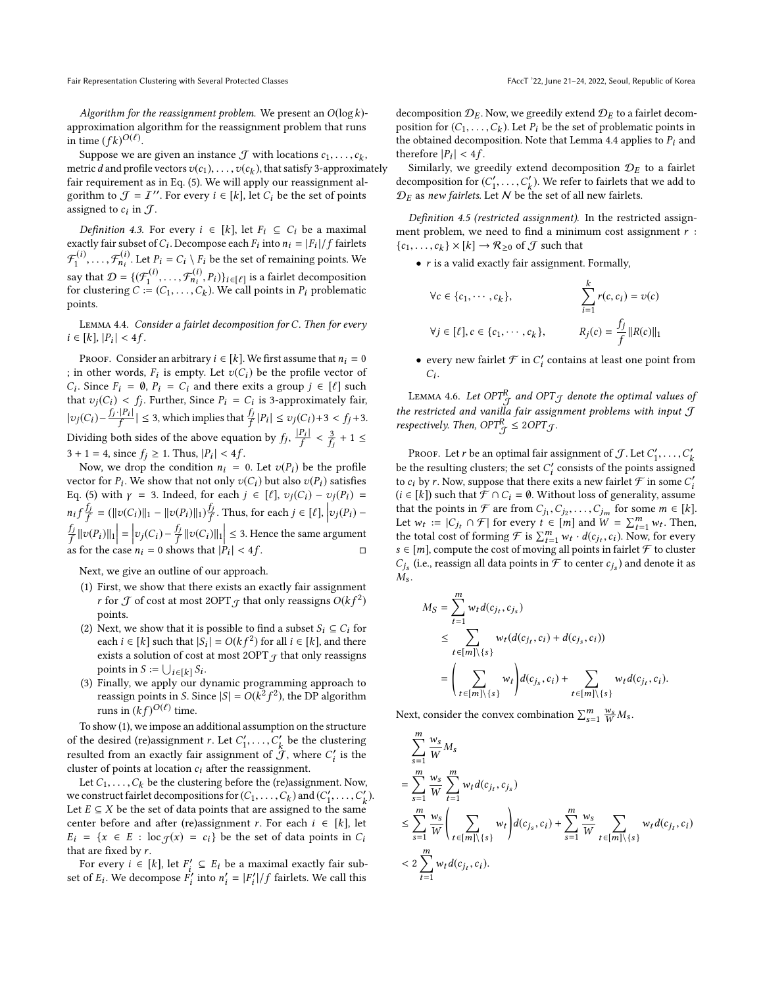Suppose we are given an instance  $\mathcal{J}$  with locations  $c_1, \ldots, c_k$ ,<br>tric d and profile vectors  $v(c_1)$   $v(c_1)$  that satisfy 3-approximately metric *d* and profile vectors  $v(c_1), \ldots, v(c_k)$ , that satisfy 3-approximately fair requirement as in Eq. (5). We will apply our reassignment alfair requirement as in Eq. [\(5\)](#page-5-2). We will apply our reassignment algorithm to  $\mathcal{J} = \mathcal{I}''$ . For every  $i \in [k]$ , let  $C_i$  be the set of points assigned to  $c_i$  in  $\mathcal{J}$ .

*Definition 4.3.* For every  $i \in [k]$ , let  $F_i \subseteq C_i$  be a maximal exactly fair subset of  $C_i$ . Decompose each  $F_i$  into  $n_i = |F_i|/f$  fairlets  $\mathcal{F}_1^{(i)}, \ldots, \mathcal{F}_{n_i}^{(i)}$ . Let  $P_i = C_i \setminus F_i$  be the set of remaining points. We say that  $\mathcal{D} = \{(\mathcal{F}_1^{(i)},...,\mathcal{F}_{n_i}^{(i)}, P_i)\}_{i \in [\ell]}$  is a fairlet decomposition<br>for clustering  $C = (C_1, ..., C_k)$ . We call points in P. problematic for clustering  $C := (C_1, \ldots, C_k)$ . We call points in  $P_i$  problematic points points.

<span id="page-6-1"></span>Lemma 4.4. Consider a fairlet decomposition for C. Then for every *i* ∈ [*k*], |*P<sub>i</sub>*| < 4*f*.

PROOF. Consider an arbitrary  $i \in [k]$ . We first assume that  $n_i = 0$ ; in other words,  $F_i$  is empty. Let  $v(C_i)$  be the profile vector of  $C_i$ . Since  $F_i = \emptyset$ ,  $P_i = C_i$  and there exits a group  $i \in [l]$  such that  $v_j(C_i) < f_j$ . Further, Since  $P_i = C_i$  is 3-approximately fair,  $C_i$ . Since  $F_i = \emptyset$ ,  $P_i = C_i$  and there exits a group  $j \in [\ell]$  such  $|v_j(C_i) - \frac{f_j \cdot |P_i|}{f}| \le 3$ , which implies that  $\frac{f_j}{f} |P_i| \le v_j(C_i) + 3 < f_j + 3$ . | Dividing both sides of the above equation by  $f_j$ ,  $\frac{|P_i|}{f}$ f<br>S  $\frac{3}{6} + 1 \leq$  $\overline{f}$  $3 + 1 = 4$ , since  $f_j \ge 1$ . Thus,  $|P_i| < 4f$ .<br>Now we drop the condition  $n_i =$ 

Now, we drop the condition  $n_i = 0$ . Let  $v(P_i)$  be the profile vector for  $P_i$ . We show that not only  $v(C_i)$  but also  $v(P_i)$  satisfies<br>Eq. (5) with  $v = 3$  Indeed, for each  $i \in [l]$ ,  $v_i(C_i) = v_i(P_i) =$ Eq. [\(5\)](#page-5-2) with  $\gamma = 3$ . Indeed, for each  $j \in [\ell], v_j(C_i) - v_j(P_i) =$  $n_i f_{\overline{f}}^{f_j} = (||v(C_i)||_1 - ||v(P_i)||_1) \frac{f_j}{f}$ . Thus, for each  $j \in [\ell], |v_j(P_i) \begin{array}{ccc} \text{f} & \text{f} & \text{f} & \text{f} & \text{f} & \text{f} & \text{f} & \text{f} & \text{f} & \text{f} & \text{f} & \text{f} & \text{f} & \text{f} & \text{f} & \text{f} & \text{f} & \text{f} & \text{f} & \text{f} & \text{f} & \text{f} & \text{f} & \text{f} & \text{f} & \text{f} & \text{f} & \text{f} & \text{f} & \text{f} & \text{f} & \text{f} & \text{f} & \text{f} & \text{f} & \text{$  $\left| \frac{f_j}{f} ||\nu(P_i)||_1 \right| = \left| \nu_j(C_i) - \frac{f_j}{f} ||\nu(C_i)||_1 \right| \leq 3$ . Hence the same argument as for the case  $n_i = 0$  shows that  $|\dot{P}_i| < 4f$ .  $\Box$ 

Next, we give an outline of our approach.

- <span id="page-6-0"></span>(1) First, we show that there exists an exactly fair assignment r for  $\mathcal J$  of cost at most 20PT $_{\mathcal J}$  that only reassigns  $O(k f^2)$ points.
- <span id="page-6-2"></span>(2) Next, we show that it is possible to find a subset  $S_i \subseteq C_i$  for each  $i \in [k]$  such that  $|S_i| = O(kf^2)$  for all  $i \in [k]$ , and there exists a solution of cost at most 20PT  $\in$  that only reassigns exists a solution of cost at most 2OPT $<sub>f</sub>$  that only reassigns</sub> points in  $S := \bigcup_{i \in [k]} S_i$ .<br>Finally, we apply our di-
- (3) Finally, we apply our dynamic programming approach to reassign points in S. Since  $|S| = O(k^2)$ <sup>J</sup>  $^{2}$ ), the DP algorithm runs in  $(kf)^{O(\ell)}$  time.

To show [\(1\)](#page-6-0), we impose an additional assumption on the structure of the desired (re)assignment r. Let  $C'_1, \ldots, C'_k$  be the clustering<br>resulted from an excelly fair equipment of  $\sigma$  where  $C'$  is the resulted from an exactly fair assignment of  $\overline{f}$ , where  $C_i'$  is the cluster of points at location c, ofter the reassignment cluster of points at location  $c_i$  after the reassignment.

Let  $C_1, \ldots, C_k$  be the clustering before the (re)assignment. Now, we construct fairlet decompositions for  $(C_1, \ldots, C_k)$  and  $(C'_1, \ldots, C'_k)$ .<br>Let  $F \subset X$  be the set of data points that are assigned to the same Let  $E \subseteq X$  be the set of data points that are assigned to the same<br>center before and after (re)assignment r. For each  $i \in [k]$  let center before and after (re)assignment r. For each  $i \in [k]$ , let  $E_i = \{x \in E : \text{loc}_{\mathcal{J}}(x) = c_i\}$  be the set of data points in  $C_i$ that are fixed by r.

For every  $i \in [k]$ , let  $F'_i \subseteq E_i$  be a maximal exactly fair sub-<br>cof E. We decompose  $F'$  into  $n' = |F'|/f$  fairlets. We call this set of  $E_i$ . We decompose  $F'_i$  into  $n'_i = |F'_i|/f$  fairlets. We call this

decomposition  $\mathcal{D}_E$ . Now, we greedily extend  $\mathcal{D}_E$  to a fairlet decomposition for  $(C_1, \ldots, C_k)$ . Let  $P_i$  be the set of problematic points in the obtained decomposition. Note that I emma 4.4 angles to  $P_i$  and the obtained decomposition. Note that Lemma [4.4](#page-6-1) applies to  $P_i$  and therefore  $|P_i| < 4f$ .<br>Similarly we gr.

Similarly, we greedily extend decomposition  $\mathcal{D}_E$  to a fairlet decomposition for  $(C'_1, \ldots, C'_k)$ . We refer to fairlets that we add to  $\mathcal{D}_R$  as now fairlets Let N be the set of all now fairlets.  $D_E$  as new fairlets. Let N be the set of all new fairlets.

Definition 4.5 (restricted assignment). In the restricted assignment problem, we need to find a minimum cost assignment  $r$ :  ${c_1, \ldots, c_k} \times [k] \to \mathcal{R}_{\geq 0}$  of  $\mathcal J$  such that

•  $r$  is a valid exactly fair assignment. Formally,

$$
\forall c \in \{c_1, \cdots, c_k\}, \qquad \sum_{i=1}^k r(c, c_i) = v(c)
$$
  

$$
\forall j \in [\ell], c \in \{c_1, \cdots, c_k\}, \qquad R_j(c) = \frac{f_j}{f} ||R(c)||_1
$$

• every new fairlet  $\mathcal F$  in  $C_i'$  contains at least one point from  $\overline{\phantom{a}}$  $C_i$ .

<span id="page-6-3"></span>LEMMA 4.6. Let OPT $^R_{\mathcal{J}}$  and OPT $_{\mathcal{J}}$  denote the optimal values of the restricted and vanilla fair assignment problems with input  $\mathcal J$ respectively. Then,  $OPT_{\mathcal{J}}^R \leq 2OPT_{\mathcal{J}}$ .

PROOF. Let r be an optimal fair assignment of  $\mathcal{J}$ . Let  $C'_1, \ldots, C'_k$ <br>the resulting clusters: the set  $C'_i$  consists of the points essigned be the resulting clusters; the set  $C_i'$  consists of the points assigned<br>to c, by r. Now, suppose that there exits a new fairlet  $\mathcal F$  in some  $C'$ to  $c_i$  by r. Now, suppose that there exits a new fairlet  $\mathcal F$  in some  $C'_i$ <br>(*i*  $\in$  [k]) such that  $\mathcal F \circ C$ ,  $\in \emptyset$ . Without loss of generality assume  $(i \in [k])$  such that  $\mathcal{F} \cap C_i = \emptyset$ . Without loss of generality, assume that the points in  $\mathcal{F}$  are from  $C_i$ ,  $C_i$ ,  $C_i$  for some  $m \in [k]$ that the points in F are from  $C_{j_1}, C_{j_2}, \ldots, C_{j_m}$  for some  $m \in [k]$ .<br>Let  $w_i := |C_i \cap \mathcal{F}|$  for every  $t \in [m]$  and  $W = \sum_{i=1}^{m} w_i$ . Then Let  $w_t := |C_{j_t} \cap \mathcal{F}|$  for every  $t \in [m]$  and  $W = \sum_{t=1}^{m} w_t$ . Then,<br>the total cost of forming  $\mathcal{F}$  is  $\sum_{t=1}^{m} w_t \cdot d(c_i, c_i)$ . Now for every the total cost of forming  $\mathcal{F}$  is  $\sum_{t=1}^{m} w_t \cdot d(c_j, c_i)$ . Now, for every<br>s  $\in [m]$  compute the cost of moving all points in fairlet  $\mathcal{F}$  to cluster s ∈ [m], compute the cost of moving all points in fairlet  $\mathcal F$  to cluster<br>C, (i.e. reassign all dota points in  $\mathcal F$  to center c.) and denote it as  $M_s$ . (i.e., reassign all data points in  $\overline{\mathcal{F}}$  to center  $c_{j_s}$ ) and denote it as

$$
M_S = \sum_{t=1}^m w_t d(c_{j_t}, c_{j_s})
$$
  
\n
$$
\leq \sum_{t \in [m] \setminus \{s\}} w_t (d(c_{j_t}, c_i) + d(c_{j_s}, c_i))
$$
  
\n
$$
= \left( \sum_{t \in [m] \setminus \{s\}} w_t \right) d(c_{j_s}, c_i) + \sum_{t \in [m] \setminus \{s\}} w_t d(c_{j_t}, c_i).
$$

Next, consider the convex combination  $\sum_{s=1}^{m} \frac{w_s}{W} M_s$ .

$$
\sum_{s=1}^{m} \frac{w_s}{W} M_s
$$
\n
$$
= \sum_{s=1}^{m} \frac{w_s}{W} \sum_{t=1}^{m} w_t d(c_{j_t}, c_{j_s})
$$
\n
$$
\leq \sum_{s=1}^{m} \frac{w_s}{W} \left( \sum_{t \in [m] \setminus \{s\}} w_t \right) d(c_{j_s}, c_i) + \sum_{s=1}^{m} \frac{w_s}{W} \sum_{t \in [m] \setminus \{s\}} w_t d(c_{j_t}, c_i)
$$
\n
$$
< 2 \sum_{t=1}^{m} w_t d(c_{j_t}, c_i).
$$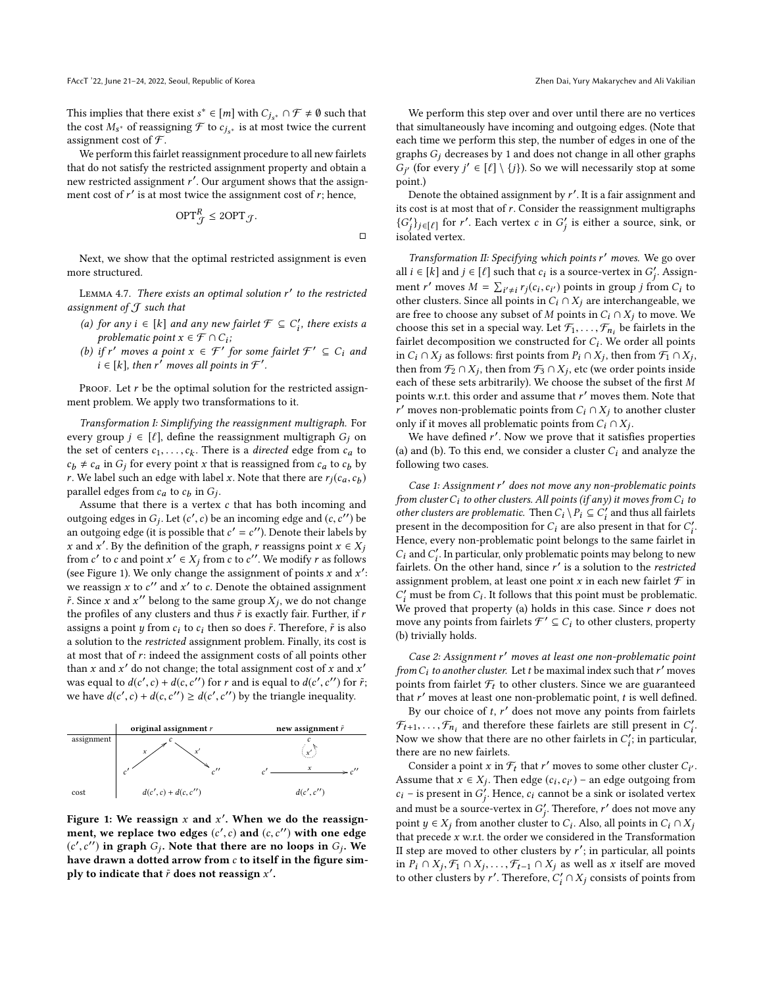This implies that there exist  $s^* \in [m]$  with  $C_{j_s^*} \cap \mathcal{F} \neq \emptyset$  such that the cost  $M_*$  of reassigning  $\mathcal{F}$  to  $c_{i_s}$ , is at most twice the current the cost  $M_{s^*}$  of reassigning  $\mathcal F$  to  $c_{j_{s^*}}$  is at most twice the current<br>assignment cost of  $\mathcal F$ assignment cost of  $\mathcal{F}$ .

We perform this fairlet reassignment procedure to all new fairlets that do not satisfy the restricted assignment property and obtain a new restricted assignment r'. Our argument shows that the assignment cost of r' is at most twice the assignment cost of r: hence ment cost of  $r'$  is at most twice the assignment cost of  $r$ ; hence,

$$
\text{OPT}_{\mathcal{J}}^R \le 2\text{OPT}_{\mathcal{J}}.
$$

□

Next, we show that the optimal restricted assignment is even more structured.

<span id="page-7-1"></span>LEMMA 4.7. There exists an optimal solution  $r'$  to the restricted<br>isomment of  $\mathcal T$  such that assignment of  $J$  such that

- (a) for any  $i \in [k]$  and any new fairlet  $\mathcal{F} \subseteq C'_i$ , there exists a problematic point  $x \in \mathcal{F} \cap C$ . problematic point  $x \in \mathcal{F} \cap C_i$ ;<br>if r' moyes a point  $x \in \mathcal{F}'$
- (b) if r' moves a point  $x \in \mathcal{F}'$  for some fairlet  $\mathcal{F}' \subseteq C_i$  and  $i \in [k]$  then r' moves all points in  $\mathcal{F}'$  $i \in [k]$ , then  $r^{\prime}$  moves all points in  $\mathcal{F}'$ .

PROOF. Let  $r$  be the optimal solution for the restricted assignment problem. We apply two transformations to it.

Transformation I: Simplifying the reassignment multigraph. For every group  $j \in [\ell]$ , define the reassignment multigraph  $G_j$  on the set of centers  $c_1, \ldots, c_k$ . There is a directed edge from  $c_a$  to  $c_k \neq c_s$  in  $G$ ; for every noint x that is reassimed from  $c_a$  to  $c_k$  by  $c_b \neq c_a$  in  $G_j$  for every point x that is reassigned from  $c_a$  to  $c_b$  by r. We label such an edge with label x. Note that there are  $r_j(c_a, c_b)$ <br>parallel edges from c, to c, in G. parallel edges from  $c_a$  to  $c_b$  in  $G_j$ .<br>Assume that there is a vertex

Assume that there is a vertex c that has both incoming and outgoing edges in  $G_j$ . Let  $(c', c)$  be an incoming edge and  $(c, c'')$  be<br>an outgoing edge (it is possible that  $c' = c''$ ). Denote their labels by an outgoing edge (it is possible that  $c' = c''$ ). Denote their labels by<br>x and x'. By the definition of the graph, x reassigns point  $x \in Y$ . x and x'. By the definition of the graph, r reassigns point  $x \in X_j$ <br>from c' to c and point x' ∈ X; from c to c''. We modify r as follows from c' to c and point  $x' \in X_j$  from c to c''. We modify r as follows (see Figure [1\)](#page-7-0). We only change the assignment of points x and x':<br>we reassign x to c'' and x' to c. Denote the obtained assignment we reassign x to c'' and x' to c. Denote the obtained assignment  $\tilde{r}$ . Since x and x'' belong to the same group  $Y$ : we do not change  $\tilde{r}$ . Since x and x'' belong to the same group  $X_j$ , we do not change the profiles of any clusters and thus  $\tilde{r}$  is exactly fair. Further, if r the profiles of any clusters and thus  $\tilde{r}$  is exactly fair. Further, if  $r$ assigns a point y from  $c_i$  to  $c_i$  then so does  $\tilde{r}$ . Therefore,  $\tilde{r}$  is also a solution to the restricted assignment problem. Finally, its cost is at most that of r: indeed the assignment costs of all points other than x and x' do not change; the total assignment cost of x and x'<br>was equal to  $d(c', c) + d(c, c'')$  for x and is equal to  $d(c', c'')$  for  $\tilde{r}$ . was equal to  $d(c', c) + d(c, c'')$  for r and is equal to  $d(c', c'')$  for  $\tilde{r}$ ;<br>we have  $d(c', c) + d(c, c'') > d(c', c'')$  by the triangle inequality we have  $d(c', c) + d(c, c'') \geq d(c', c'')$  by the triangle ineq ,c ′′) by the triangle inequality.

<span id="page-7-0"></span>

Figure 1: We reassign x and x'. When we do the reassign-<br>ment we replace two edges  $(c', c)$  and  $(c, c'')$  with one edge ment, we replace two edges  $(c', c)$  and  $(c, c'')$  with one edge<br> $(c', c'')$  in graph  $G$ . Note that there are no loops in  $G$ . We  $(c', c'')$  in graph  $G_j$ . Note that there are no loops in  $G_j$ . We have drawn a dotted arrow from c to itself in the figure simhave drawn a dotted arrow from c to itself in the figure sim-<br>nly to indicate that  $\tilde{r}$  does not reassion  $r'$ ply to indicate that  $\tilde{r}$  does not reassign  $x'.$ 

We perform this step over and over until there are no vertices that simultaneously have incoming and outgoing edges. (Note that each time we perform this step, the number of edges in one of the graphs  $G_i$  decreases by 1 and does not change in all other graphs  $\frac{1}{\pi}$ point.)  $\hat{f}$  (for every  $j' \in [\ell] \setminus \{j\}$ ). So we will necessarily stop at some int )

Denote the obtained assignment by  $r'$ . It is a fair assignment and cost is at most that of  $r$ . Consider the reassignment multigraphs its cost is at most that of  $r$ . Consider the reassignment multigraphs  $\{G'_j\}_{j \in [\ell]}$  for r'. Each vertex c in  $G'_j$  is either a source, sink, or j isolated vertex. j

Transformation II: Specifying which points r' moves. We go over<br> $i \in [k]$  and  $i \in [l]$  such that  $c_i$  is a source-vertex in  $G'$  Assignall  $i \in [k]$  and  $j \in [\ell]$  such that  $c_i$  is a source-vertex in  $G'_j$ . Assign-<br>in eq. (i) moves  $M - \sum_{i=1}^{\infty} [f(x_i, a_i)]$  mointains group if from  $C$  to ment r' moves  $M = \sum_{i' \neq i} r_j(c_i, c_{i'})$  points in group j from  $C_i$  to other clusters. Since all points in  $C_i \cap X_j$  are interchangeable we other clusters. Since all points in  $C_i \cap X_j$  are interchangeable, we<br>other clusters. Since all points in  $C_i \cap X_j$  are interchangeable, we are free to choose any subset of M points in  $C_i \cap X_j$  to move. We choose this set in a special way. Let  $\mathcal{F}_1, \ldots, \mathcal{F}_{n_i}$  be fairlets in the fairlet decomposition we constructed for C. We order all points fairlet decomposition we constructed for  $C_i$ . We order all points<br>in  $C_i \cap X_i$  as follows; first points from  $P_i \cap X_j$ ; then from  $E_i \cap X_j$ . in  $C_i \cap X_j$  as follows: first points from  $P_i \cap X_j$ , then from  $\mathcal{F}_1 \cap X_j$ , then from  $\mathcal{F}_2 \cap X_j$ , atc (we order points inside then from  $\mathcal{F}_2 \cap X_j$ , then from  $\mathcal{F}_3 \cap X_j$ , etc (we order points inside<br>each of these sets arbitrarily). We choose the subset of the first M each of these sets arbitrarily). We choose the subset of the first M points w.r.t. this order and assume that  $r'$  moves them. Note that  $r'$  moves non-problematic points from  $C: \Omega$ . Y. to another cluster only if it moves all problematic points from  $C_i \cap X_j$ .<br>We have defined r'. Now we prove that it satisfies r' moves non-problematic points from  $C_i \cap X_j$  to another cluster

We have defined  $r'$ . Now we prove that it satisfies properties and (b) To this end we consider a cluster  $C$  and analyze the (a) and (b). To this end, we consider a cluster  $C_i$  and analyze the following two cases.

Case 1: Assignment r' does not move any non-problematic points<br>m cluster C: to other clusters, All points (if any) it moves from C: to from cluster  $C_i$  to other clusters. All points (if any) it moves from  $C_i$  to other clusters are problematic. Then  $C_i \setminus P_i \subseteq C'_i$  and thus all fairlets present in the decomposition for C are also present in that for C' present in the decomposition for  $C_i$  are also present in that for  $C'_i$ .<br>Hence, every non-problematic point belongs to the same fairlet in -<br>Hence, every non-problematic point belongs to the same fairlet in  $C_i$  and  $C'_i$ . In particular, only problematic points may belong to new<br>fairlets. On the other hand, since  $r'$  is a solution to the restricted fairlets. On the other hand, since r' is a solution to the restricted<br>assignment problem at least one point r in each new fairlet  $\mathcal{F}$  in assignment problem, at least one point x in each new fairlet  $\mathcal F$  in We proved that property (a) holds in this case. Since r does not<br>move any points from fairlets  $\mathcal{F}' \subseteq C$ , to other clusters, property  $\sum_{i=1}^{n}$  must be from  $C_i$ . It follows that this point must be problematic. move any points from fairlets  $\mathcal{F}' \subseteq C_i$  to other clusters, property<br>(b) trivially holds (b) trivially holds.

Case 2: Assignment r' moves at least one non-problematic point<br>m C: to another cluster. Let t be maximal index such that r' moves from  $C_i$  to another cluster. Let t be maximal index such that r' moves<br>points from fairlet  $\mathcal F$ , to other clusters. Since we are guaranteed points from fairlet  $\mathcal{F}_t$  to other clusters. Since we are guaranteed that r' moves at least one non-problematic point, t is well defined.<br>By our choice of  $t$ , r' does not move any points from fairlets.

By our choice of t, r' does not move any points from fairlets<br>  $\mathcal{F}$  and therefore these fairlets are still present in  $C'$  $\mathcal{F}_{t+1}, \ldots, \mathcal{F}_{n_i}$  and therefore these fairlets are still present in  $C'_t$ .<br>Now we show that there are no other fairlets in  $C'_t$  in particular Now we show that there are no other fairlets in  $C_i'$ ; in particular, there are no new fairlets there are no new fairlets.

Consider a point x in  $\mathcal{F}_t$  that r' moves to some other cluster  $C_{i'}$ . Assume that  $\bar{x} \in X_j$ . Then edge  $(c_i, c_{i'})$  – an edge outgoing from  $c_i$  – is present in  $G'$ . Hence  $c_i$  cannot be a sink or isolated vertex  $c_i$  – is present in  $G'_i$ . Hence,  $c_i$  cannot be a sink or isolated vertex and must be a source-vertex in  $G'_j$ . Therefore, r' does not move any<br>noint  $u \in Y$  from enother eluder to  $G$ , Also, all points in  $G \cap Y$ point  $y \in X_j$  from another cluster to  $C_i$ . Also, all points in  $C_i \cap X_j$ <br>that precede x w.r.t. the order we considered in the Transformation that precede  $x$  w.r.t. the order we considered in the Transformation II step are moved to other clusters by r'; in particular, all points<br>in  $P_i \n\cap Y_i \n\in \bigcap_{i=1}^{\infty} Y_i$  as well as x itself are moved in  $P_i \cap X_j$ ,  $\mathcal{F}_1 \cap X_j$ , ...,  $\mathcal{F}_{t-1} \cap X_j$  as well as x itself are moved to other clusters by r' Therefore  $C' \cap X_i$  consists of points from to other clusters by r'. Therefore,  $C_i' \cap X_j$  consists of points from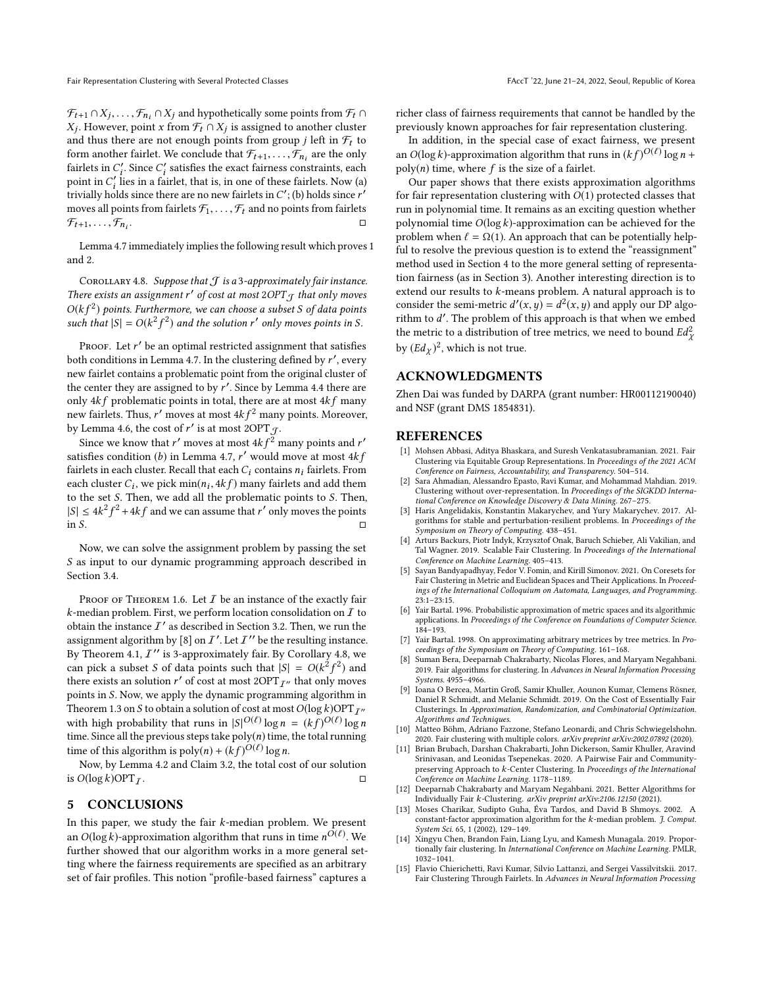Fair Representation Clustering with Several Protected Classes FAccT '22, June 21-24, 2022, Seoul, Republic of Korea

 $\mathcal{F}_{t+1} \cap X_j, \ldots, \mathcal{F}_{n_i} \cap X_j$  and hypothetically some points from  $\mathcal{F}_t \cap X$ .<br>  $X_t$ . However, point x from  $\mathcal{F}_t \cap X_t$  is assigned to another cluster and thus there are not enough points from group j left in  $\mathcal{F}_t$  to and thus there are not enough points from group j left in  $\mathcal{F}_t$  to form another fairlet. We conclude that  $\mathcal{F}_{t-t}$  of  $\mathcal{F}_t$  are the only . However, point x from  $\mathcal{F}_t \cap X_j$  is assigned to another cluster d thus there are not enough points from group i left in  $\mathcal{F}_t$  to form another fairlet. We conclude that  $\mathcal{F}_{t+1}, \ldots, \mathcal{F}_{n_i}$  are the only fairlets in C' Since C' satisfies the exact fairness constraints, each fairlets in  $C'_i$ . Since  $C'_i$  satisfies the exact fairness constraints, each point in  $C'$  lies in a fairlet, that is in one of these fairlets. Now (a) point in  $C'_i$  lies in a fairlet, that is, in one of these fairlets. Now (a) trivially holds since there are no new fairlets in  $C'$ . (b) holds since r' trivially holds since there are no new fairlets in  $C'$ ; (b) holds since r'<br>moves all points from fairlets  $\mathcal{F}$ ,  $\mathcal{F}$ , and no points from fairlets moves all points from fairlets  $\mathcal{F}_1, \ldots, \mathcal{F}_t$  and no points from fairlets  $\mathcal{F}_{t+1}, \ldots, \mathcal{F}_{n_i}$ . . □

Lemma [4.7](#page-7-1) immediately implies the following result which proves [1](#page-6-0) and [2.](#page-6-2)

<span id="page-8-15"></span>COROLLARY 4.8. Suppose that  $J$  is a 3-approximately fair instance. There exists an assignment r' of cost at most  $2OPT_J$  that only moves<br> $O(k f^2)$  points, Eurthermore, we can choose a subset S of data points  $O(k f^2)$  points. Furthermore, we can choose a subset S of data points<br>such that  $|S| = O(k^2 f^2)$  and the solution r' only moves points in S such that  $|S| = O(k^2)$ f<br>I <sup>2</sup>) and the solution  $r'$  only moves points in S.

Proof. Let r' be an optimal restricted assignment that satisfies<br>the conditions in Lamma 4.7. In the clustering defined by r' every both conditions in Lemma [4.7.](#page-7-1) In the clustering defined by r', every<br>new fairlet contains a problematic point from the original cluster of new fairlet contains a problematic point from the original cluster of the center they are assigned to by  $r'$ . Since by Lemma [4.4](#page-6-1) there are<br>only 4k f, problematic points in total, there are at most 4k f many only  $4kf$  problematic points in total, there are at most  $4kf$  many new fairlets. Thus, r' moves at most  $4kf^2$  many points. Moreover,<br>by Lamma 4.6, the cost of r' is at most 20PT  $\sim$ by Lemma [4.6,](#page-6-3) the cost of r' is at most 2OPT  $\overline{f}$ .<br>Since we know that r' moves at most 4k  $f^2$  r

Since we know that r' moves at most  $4kf^2$  many points and r'<br>is fies condition (b) in Lamma 4.7 r' would move at most 4k f satisfies condition (b) in Lemma [4.7,](#page-7-1) r' would move at most  $4kf$ <br>fairlets in each cluster Recall that each C; contains n; fairlets From fairlets in each cluster. Recall that each  $C_i$  contains  $n_i$  fairlets. From each cluster  $C_i$ , we pick  $\min(n_i, 4kf)$  many fairlets and add them<br>to the set S. Then, we add all the problematic points to S. Then to the set S. Then, we add all the problematic points to S. Then,  $|S| \leq 4k^2$ <br>in S  $f^2 + 4kf$  and we can assume that r' only moves the points  $\Box$   $\Box$ 

Now, we can solve the assignment problem by passing the set S as input to our dynamic programming approach described in Section [3.4.](#page-3-3)

PROOF OF THEOREM [1.6.](#page-2-0) Let  $I$  be an instance of the exactly fair  $k$ -median problem. First, we perform location consolidation on  $I$  to obtain the instance  $I'$  as described in Section [3.2.](#page-3-4) Then, we run the assignment algorithm by [\[8\]](#page-8-1) on  $\mathcal{I}'$ . Let  $\mathcal{I}''$  be the resulting instance. By Theorem [4.1,](#page-5-1)  $I''$  is 3-approximately fair. By Corollary [4.8,](#page-8-15) we can pick a subset S of data points such that  $|S| = O(k^2 f^2)$  and<br>there exists an solution r' of cost at most 2OPT  $\tau$ , that only moves there exists an solution r' of cost at most  $2OPT_{\mathcal{I}''}$  that only moves<br>points in S. Now we apply the dynamic programming algorithm in points in S. Now, we apply the dynamic programming algorithm in Theorem [1.3](#page-1-0) on S to obtain a solution of cost at most  $O(\log k)$ OPT $_{I''}$ with high probability that runs in  $|S|^{O(\ell)} \log n = (kf)^{O(\ell)} \log n$ <br>time Since all the previous steps take poly(n) time the total running time. Since all the previous steps take  $poly(n)$  time, the total running time of this algorithm is  $poly(n) + (kf)^{O(\ell)} \log n$ .<br>Now by I amma 4.2 and Claim 3.2, the total co-

Now, by Lemma [4.2](#page-5-3) and Claim [3.2,](#page-3-2) the total cost of our solution is  $O(\log k)$ OPT<sub>I</sub>.

#### 5 CONCLUSIONS

In this paper, we study the fair  $k$ -median problem. We present an  $O(\log k)$ -approximation algorithm that runs in time  $n^{\tilde{O}(\ell)}$ . We further showed that our algorithm works in a more general set. further showed that our algorithm works in a more general setting where the fairness requirements are specified as an arbitrary set of fair profiles. This notion "profile-based fairness" captures a

richer class of fairness requirements that cannot be handled by the previously known approaches for fair representation clustering.

In addition, in the special case of exact fairness, we present an  $O(\log k)$ -approximation algorithm that runs in  $(kf)^{O(\ell)} \log n +$  $poly(n)$  time, where f is the size of a fairlet.

Our paper shows that there exists approximation algorithms for fair representation clustering with  $O(1)$  protected classes that run in polynomial time. It remains as an exciting question whether polynomial time  $O(\log k)$ -approximation can be achieved for the problem when  $\ell = \Omega(1)$ . An approach that can be potentially helpful to resolve the previous question is to extend the "reassignment" method used in Section [4](#page-5-4) to the more general setting of representation fairness (as in Section [3\)](#page-2-3). Another interesting direction is to extend our results to k-means problem. A natural approach is to consider the semi-metric  $d'(x, y) = d^2(x, y)$  and apply our DP algo-<br>rithm to d' The problem of this approach is that when we embed rithm to d'. The problem of this approach is that when we embed<br>the metric to a distribution of tree metrics, we need to bound  $Ed^2$ the metric to a distribution of tree metrics, we need to bound  $Ed_v^2$  $\ddot{\phantom{0}}$ by  $(Ed_\chi)^2$ , which is not true.

## ACKNOWLEDGMENTS

Zhen Dai was funded by DARPA (grant number: HR00112190040) and NSF (grant DMS 1854831).

## **REFERENCES**

- <span id="page-8-7"></span>[1] Mohsen Abbasi, Aditya Bhaskara, and Suresh Venkatasubramanian. 2021. Fair Clustering via Equitable Group Representations. In Proceedings of the 2021 ACM Conference on Fairness, Accountability, and Transparency. 504–514.
- <span id="page-8-3"></span>[2] Sara Ahmadian, Alessandro Epasto, Ravi Kumar, and Mohammad Mahdian. 2019. Clustering without over-representation. In Proceedings of the SIGKDD International Conference on Knowledge Discovery & Data Mining. 267–275.
- <span id="page-8-12"></span>[3] Haris Angelidakis, Konstantin Makarychev, and Yury Makarychev. 2017. Algorithms for stable and perturbation-resilient problems. In Proceedings of the Symposium on Theory of Computing. 438–451.
- <span id="page-8-4"></span>[4] Arturs Backurs, Piotr Indyk, Krzysztof Onak, Baruch Schieber, Ali Vakilian, and Tal Wagner. 2019. Scalable Fair Clustering. In Proceedings of the International Conference on Machine Learning. 405–413.
- <span id="page-8-5"></span>[5] Sayan Bandyapadhyay, Fedor V. Fomin, and Kirill Simonov. 2021. On Coresets for Fair Clustering in Metric and Euclidean Spaces and Their Applications. In Proceedings of the International Colloquium on Automata, Languages, and Programming. 23:1–23:15.
- <span id="page-8-13"></span>[6] Yair Bartal. 1996. Probabilistic approximation of metric spaces and its algorithmic applications. In Proceedings of the Conference on Foundations of Computer Science. 184–193.
- <span id="page-8-11"></span>[7] Yair Bartal. 1998. On approximating arbitrary metrices by tree metrics. In Proceedings of the Symposium on Theory of Computing. 161–168.
- <span id="page-8-1"></span>[8] Suman Bera, Deeparnab Chakrabarty, Nicolas Flores, and Maryam Negahbani. 2019. Fair algorithms for clustering. In Advances in Neural Information Processing Systems. 4955–4966.
- <span id="page-8-2"></span>[9] Ioana O Bercea, Martin Groß, Samir Khuller, Aounon Kumar, Clemens Rösner, Daniel R Schmidt, and Melanie Schmidt. 2019. On the Cost of Essentially Fair Clusterings. In Approximation, Randomization, and Combinatorial Optimization. Algorithms and Techniques.
- <span id="page-8-6"></span>[10] Matteo Böhm, Adriano Fazzone, Stefano Leonardi, and Chris Schwiegelshohn. 2020. Fair clustering with multiple colors. arXiv preprint arXiv:2002.07892 (2020).
- <span id="page-8-8"></span>[11] Brian Brubach, Darshan Chakrabarti, John Dickerson, Samir Khuller, Aravind Srinivasan, and Leonidas Tsepenekas. 2020. A Pairwise Fair and Communitypreserving Approach to k-Center Clustering. In Proceedings of the International Conference on Machine Learning. 1178–1189.
- <span id="page-8-9"></span>[12] Deeparnab Chakrabarty and Maryam Negahbani. 2021. Better Algorithms for Individually Fair k-Clustering. arXiv preprint arXiv:2106.12150 (2021).
- <span id="page-8-14"></span>[13] Moses Charikar, Sudipto Guha, Éva Tardos, and David B Shmoys. 2002. A constant-factor approximation algorithm for the  $k$ -median problem. J. Comput. System Sci. 65, 1 (2002), 129–149.
- <span id="page-8-10"></span>[14] Xingyu Chen, Brandon Fain, Liang Lyu, and Kamesh Munagala. 2019. Proportionally fair clustering. In International Conference on Machine Learning. PMLR, 1032–1041.
- <span id="page-8-0"></span>[15] Flavio Chierichetti, Ravi Kumar, Silvio Lattanzi, and Sergei Vassilvitskii. 2017. Fair Clustering Through Fairlets. In Advances in Neural Information Processing